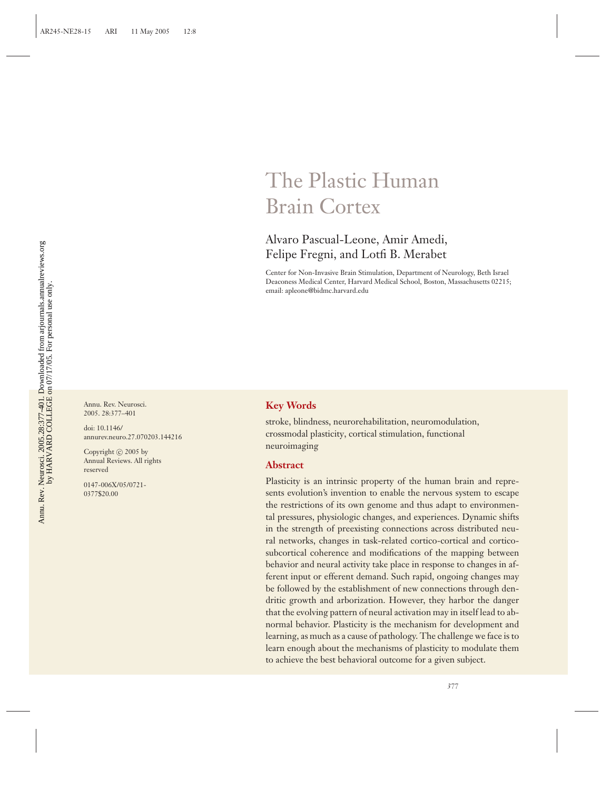# The Plastic Human Brain Cortex

## Alvaro Pascual-Leone, Amir Amedi, Felipe Fregni, and Lotfi B. Merabet

Center for Non-Invasive Brain Stimulation, Department of Neurology, Beth Israel Deaconess Medical Center, Harvard Medical School, Boston, Massachusetts 02215; email: apleone@bidmc.harvard.edu

Annu. Rev. Neurosci. 2005. 28:377–401

doi: 10.1146/ annurev.neuro.27.070203.144216

Copyright (c) 2005 by Annual Reviews. All rights reserved

0147-006X/05/0721- 0377\$20.00

### **Key Words**

stroke, blindness, neurorehabilitation, neuromodulation, crossmodal plasticity, cortical stimulation, functional neuroimaging

#### **Abstract**

Plasticity is an intrinsic property of the human brain and represents evolution's invention to enable the nervous system to escape the restrictions of its own genome and thus adapt to environmental pressures, physiologic changes, and experiences. Dynamic shifts in the strength of preexisting connections across distributed neural networks, changes in task-related cortico-cortical and corticosubcortical coherence and modifications of the mapping between behavior and neural activity take place in response to changes in afferent input or efferent demand. Such rapid, ongoing changes may be followed by the establishment of new connections through dendritic growth and arborization. However, they harbor the danger that the evolving pattern of neural activation may in itself lead to abnormal behavior. Plasticity is the mechanism for development and learning, as much as a cause of pathology. The challenge we face is to learn enough about the mechanisms of plasticity to modulate them to achieve the best behavioral outcome for a given subject.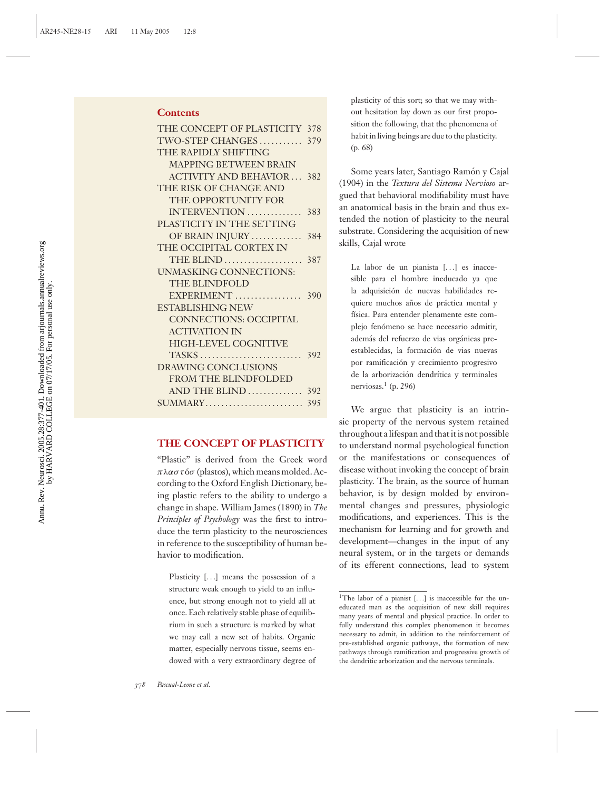### **Contents**

| THE CONCEPT OF PLASTICITY 378    |     |
|----------------------------------|-----|
|                                  |     |
| THE RAPIDLY SHIFTING             |     |
| <b>MAPPING BETWEEN BRAIN</b>     |     |
| <b>ACTIVITY AND BEHAVIOR 382</b> |     |
| THE RISK OF CHANGE AND           |     |
| THE OPPORTUNITY FOR              |     |
| INTERVENTION                     | 383 |
| PLASTICITY IN THE SETTING        |     |
| OF BRAIN INJURY  384             |     |
| THE OCCIPITAL CORTEX IN          |     |
|                                  |     |
| <b>UNMASKING CONNECTIONS:</b>    |     |
| <b>THE BLINDFOLD</b>             |     |
|                                  | 390 |
| <b>ESTABLISHING NEW</b>          |     |
| <b>CONNECTIONS: OCCIPITAL</b>    |     |
| <b>ACTIVATION IN</b>             |     |
| <b>HIGH-LEVEL COGNITIVE</b>      |     |
|                                  |     |
| <b>DRAWING CONCLUSIONS</b>       |     |
| <b>FROM THE BLINDFOLDED</b>      |     |
| AND THE BLIND 392                |     |
| SUMMARY                          | 395 |

## **THE CONCEPT OF PLASTICITY**

"Plastic" is derived from the Greek word πλαστόσ (plastos), which means molded. According to the Oxford English Dictionary, being plastic refers to the ability to undergo a change in shape. William James (1890) in *The Principles of Psychology* was the first to introduce the term plasticity to the neurosciences in reference to the susceptibility of human behavior to modification.

Plasticity [...] means the possession of a structure weak enough to yield to an influence, but strong enough not to yield all at once. Each relatively stable phase of equilibrium in such a structure is marked by what we may call a new set of habits. Organic matter, especially nervous tissue, seems endowed with a very extraordinary degree of plasticity of this sort; so that we may without hesitation lay down as our first proposition the following, that the phenomena of habit in living beings are due to the plasticity. (p. 68)

Some years later, Santiago Ramón y Cajal (1904) in the *Textura del Sistema Nervioso* argued that behavioral modifiability must have an anatomical basis in the brain and thus extended the notion of plasticity to the neural substrate. Considering the acquisition of new skills, Cajal wrote

La labor de un pianista [...] es inaccesible para el hombre ineducado ya que la adquisición de nuevas habilidades requiere muchos años de práctica mental y física. Para entender plenamente este complejo fenómeno se hace necesario admitir, además del refuerzo de vias orgánicas preestablecidas, la formación de vias nuevas por ramificación y crecimiento progresivo de la arborización dendrítica y terminales nerviosas. $^{1}$  (p. 296)

We argue that plasticity is an intrinsic property of the nervous system retained throughout a lifespan and that it is not possible to understand normal psychological function or the manifestations or consequences of disease without invoking the concept of brain plasticity. The brain, as the source of human behavior, is by design molded by environmental changes and pressures, physiologic modifications, and experiences. This is the mechanism for learning and for growth and development—changes in the input of any neural system, or in the targets or demands of its efferent connections, lead to system

<sup>&</sup>lt;sup>1</sup>The labor of a pianist [ $\dots$ ] is inaccessible for the uneducated man as the acquisition of new skill requires many years of mental and physical practice. In order to fully understand this complex phenomenon it becomes necessary to admit, in addition to the reinforcement of pre-established organic pathways, the formation of new pathways through ramification and progressive growth of the dendritic arborization and the nervous terminals.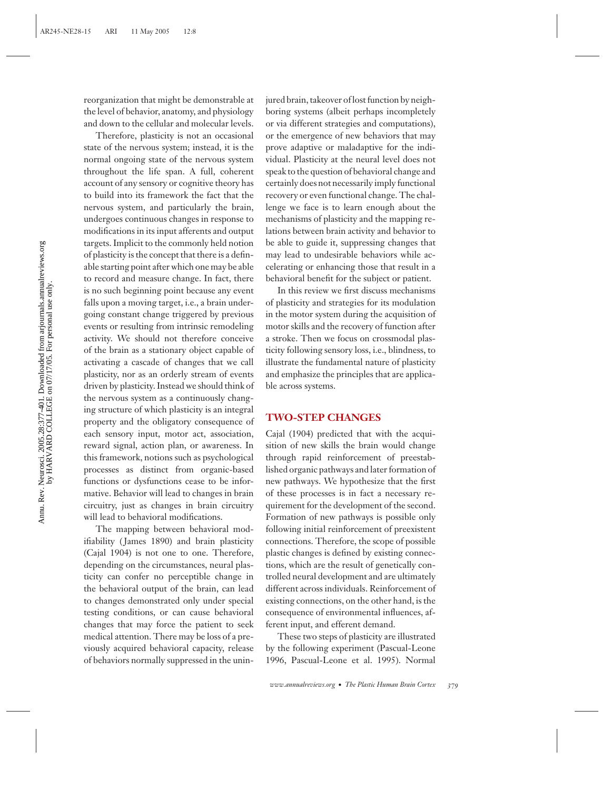reorganization that might be demonstrable at the level of behavior, anatomy, and physiology and down to the cellular and molecular levels.

Therefore, plasticity is not an occasional state of the nervous system; instead, it is the normal ongoing state of the nervous system throughout the life span. A full, coherent account of any sensory or cognitive theory has to build into its framework the fact that the nervous system, and particularly the brain, undergoes continuous changes in response to modifications in its input afferents and output targets. Implicit to the commonly held notion of plasticity is the concept that there is a definable starting point after which one may be able to record and measure change. In fact, there is no such beginning point because any event falls upon a moving target, i.e., a brain undergoing constant change triggered by previous events or resulting from intrinsic remodeling activity. We should not therefore conceive of the brain as a stationary object capable of activating a cascade of changes that we call plasticity, nor as an orderly stream of events driven by plasticity. Instead we should think of the nervous system as a continuously changing structure of which plasticity is an integral property and the obligatory consequence of each sensory input, motor act, association, reward signal, action plan, or awareness. In this framework, notions such as psychological processes as distinct from organic-based functions or dysfunctions cease to be informative. Behavior will lead to changes in brain circuitry, just as changes in brain circuitry will lead to behavioral modifications.

The mapping between behavioral modifiability (James 1890) and brain plasticity (Cajal 1904) is not one to one. Therefore, depending on the circumstances, neural plasticity can confer no perceptible change in the behavioral output of the brain, can lead to changes demonstrated only under special testing conditions, or can cause behavioral changes that may force the patient to seek medical attention. There may be loss of a previously acquired behavioral capacity, release of behaviors normally suppressed in the uninjured brain, takeover of lost function by neighboring systems (albeit perhaps incompletely or via different strategies and computations), or the emergence of new behaviors that may prove adaptive or maladaptive for the individual. Plasticity at the neural level does not speak to the question of behavioral change and certainly does not necessarily imply functional recovery or even functional change. The challenge we face is to learn enough about the mechanisms of plasticity and the mapping relations between brain activity and behavior to be able to guide it, suppressing changes that may lead to undesirable behaviors while accelerating or enhancing those that result in a behavioral benefit for the subject or patient.

In this review we first discuss mechanisms of plasticity and strategies for its modulation in the motor system during the acquisition of motor skills and the recovery of function after a stroke. Then we focus on crossmodal plasticity following sensory loss, i.e., blindness, to illustrate the fundamental nature of plasticity and emphasize the principles that are applicable across systems.

#### **TWO-STEP CHANGES**

Cajal (1904) predicted that with the acquisition of new skills the brain would change through rapid reinforcement of preestablished organic pathways and later formation of new pathways. We hypothesize that the first of these processes is in fact a necessary requirement for the development of the second. Formation of new pathways is possible only following initial reinforcement of preexistent connections. Therefore, the scope of possible plastic changes is defined by existing connections, which are the result of genetically controlled neural development and are ultimately different across individuals. Reinforcement of existing connections, on the other hand, is the consequence of environmental influences, afferent input, and efferent demand.

These two steps of plasticity are illustrated by the following experiment (Pascual-Leone 1996, Pascual-Leone et al. 1995). Normal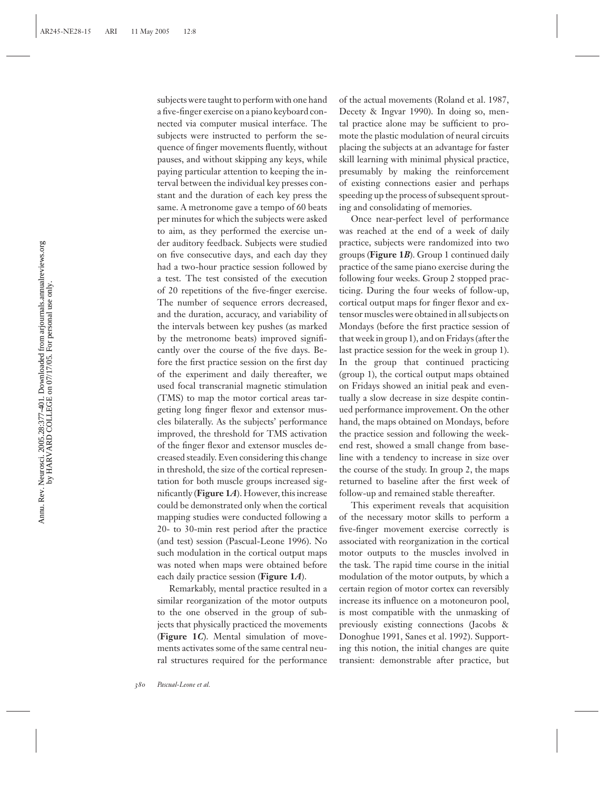subjects were taught to perform with one hand a five-finger exercise on a piano keyboard connected via computer musical interface. The subjects were instructed to perform the sequence of finger movements fluently, without pauses, and without skipping any keys, while paying particular attention to keeping the interval between the individual key presses constant and the duration of each key press the same. A metronome gave a tempo of 60 beats per minutes for which the subjects were asked to aim, as they performed the exercise under auditory feedback. Subjects were studied on five consecutive days, and each day they had a two-hour practice session followed by a test. The test consisted of the execution of 20 repetitions of the five-finger exercise. The number of sequence errors decreased, and the duration, accuracy, and variability of the intervals between key pushes (as marked by the metronome beats) improved significantly over the course of the five days. Before the first practice session on the first day of the experiment and daily thereafter, we used focal transcranial magnetic stimulation (TMS) to map the motor cortical areas targeting long finger flexor and extensor muscles bilaterally. As the subjects' performance improved, the threshold for TMS activation of the finger flexor and extensor muscles decreased steadily. Even considering this change in threshold, the size of the cortical representation for both muscle groups increased significantly (**Figure 1***A*). However, this increase could be demonstrated only when the cortical mapping studies were conducted following a 20- to 30-min rest period after the practice (and test) session (Pascual-Leone 1996). No such modulation in the cortical output maps was noted when maps were obtained before each daily practice session (**Figure 1***A*).

Remarkably, mental practice resulted in a similar reorganization of the motor outputs to the one observed in the group of subjects that physically practiced the movements (**Figure 1***C*). Mental simulation of movements activates some of the same central neural structures required for the performance

of the actual movements (Roland et al. 1987, Decety & Ingvar 1990). In doing so, mental practice alone may be sufficient to promote the plastic modulation of neural circuits placing the subjects at an advantage for faster skill learning with minimal physical practice, presumably by making the reinforcement of existing connections easier and perhaps speeding up the process of subsequent sprouting and consolidating of memories.

Once near-perfect level of performance was reached at the end of a week of daily practice, subjects were randomized into two groups (**Figure 1***B*). Group 1 continued daily practice of the same piano exercise during the following four weeks. Group 2 stopped practicing. During the four weeks of follow-up, cortical output maps for finger flexor and extensor muscles were obtained in all subjects on Mondays (before the first practice session of that week in group 1), and on Fridays (after the last practice session for the week in group 1). In the group that continued practicing (group 1), the cortical output maps obtained on Fridays showed an initial peak and eventually a slow decrease in size despite continued performance improvement. On the other hand, the maps obtained on Mondays, before the practice session and following the weekend rest, showed a small change from baseline with a tendency to increase in size over the course of the study. In group 2, the maps returned to baseline after the first week of follow-up and remained stable thereafter.

This experiment reveals that acquisition of the necessary motor skills to perform a five-finger movement exercise correctly is associated with reorganization in the cortical motor outputs to the muscles involved in the task. The rapid time course in the initial modulation of the motor outputs, by which a certain region of motor cortex can reversibly increase its influence on a motoneuron pool, is most compatible with the unmasking of previously existing connections (Jacobs & Donoghue 1991, Sanes et al. 1992). Supporting this notion, the initial changes are quite transient: demonstrable after practice, but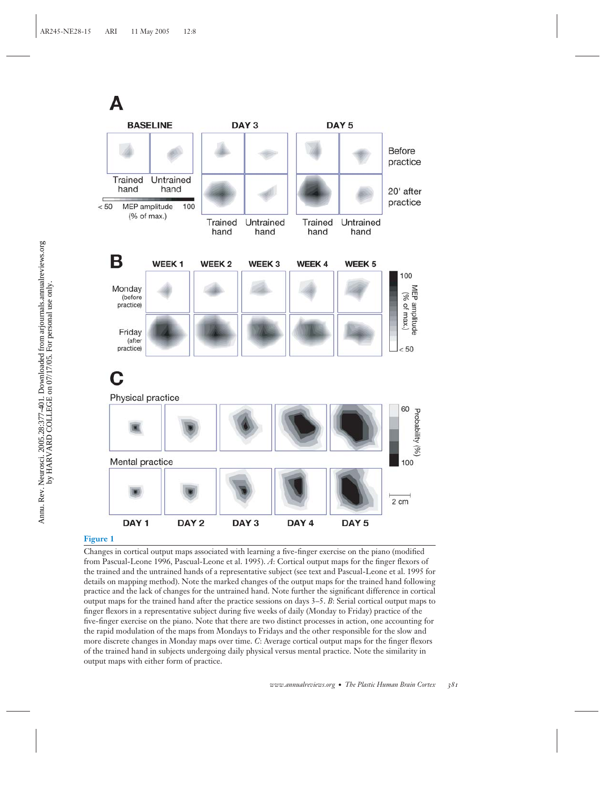

#### Changes in cortical output maps associated with learning a five-finger exercise on the piano (modified from Pascual-Leone 1996, Pascual-Leone et al. 1995). *A*: Cortical output maps for the finger flexors of the trained and the untrained hands of a representative subject (see text and Pascual-Leone et al. 1995 for details on mapping method). Note the marked changes of the output maps for the trained hand following practice and the lack of changes for the untrained hand. Note further the significant difference in cortical output maps for the trained hand after the practice sessions on days 3–5. *B*: Serial cortical output maps to finger flexors in a representative subject during five weeks of daily (Monday to Friday) practice of the five-finger exercise on the piano. Note that there are two distinct processes in action, one accounting for the rapid modulation of the maps from Mondays to Fridays and the other responsible for the slow and more discrete changes in Monday maps over time. *C*: Average cortical output maps for the finger flexors of the trained hand in subjects undergoing daily physical versus mental practice. Note the similarity in output maps with either form of practice.

**Before** practice

20' after practice

100

MEP amplitude<br>(% of max.)

 $< 50$ 

60

100

 $2 cm$ 

Probability (%)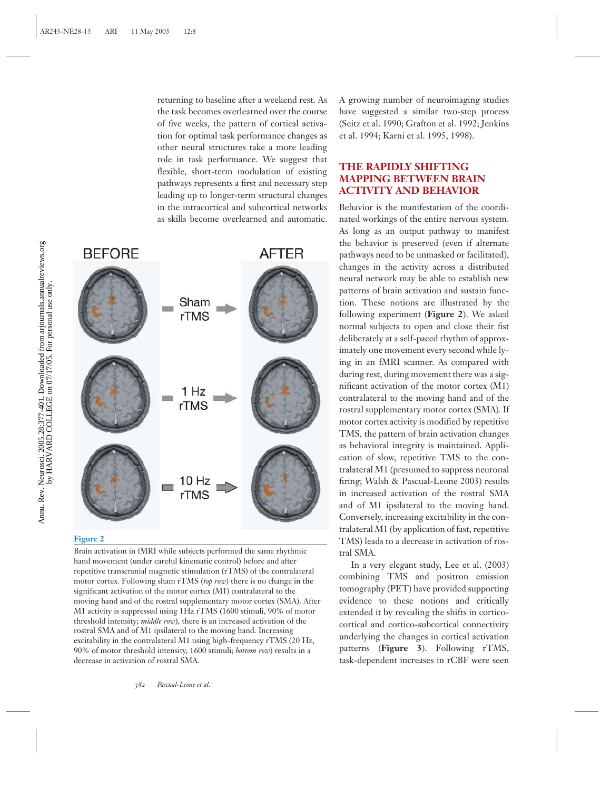returning to baseline after a weekend rest. As the task becomes overlearned over the course of five weeks, the pattern of cortical activation for optimal task performance changes as other neural structures take a more leading role in task performance. We suggest that flexible, short-term modulation of existing pathways represents a first and necessary step leading up to longer-term structural changes in the intracortical and subcortical networks as skills become overlearned and automatic.

**BEFORE AFTER** Sham rTMS 1 Hz rTMS 10 Hz<br>rTMS **Control** 

#### **Figure 2**

Brain activation in fMRI while subjects performed the same rhythmic hand movement (under careful kinematic control) before and after repetitive transcranial magnetic stimulation (rTMS) of the contralateral motor cortex. Following sham rTMS (*top row*) there is no change in the significant activation of the motor cortex (M1) contralateral to the moving hand and of the rostral supplementary motor cortex (SMA). After M1 activity is suppressed using 1Hz rTMS (1600 stimuli, 90% of motor threshold intensity; *middle row*), there is an increased activation of the rostral SMA and of M1 ipsilateral to the moving hand. Increasing excitability in the contralateral M1 using high-frequency rTMS (20 Hz, 90% of motor threshold intensity, 1600 stimuli; *bottom row*) results in a decrease in activation of rostral SMA.

A growing number of neuroimaging studies have suggested a similar two-step process (Seitz et al. 1990; Grafton et al. 1992; Jenkins et al. 1994; Karni et al. 1995, 1998).

## **THE RAPIDLY SHIFTING MAPPING BETWEEN BRAIN ACTIVITY AND BEHAVIOR**

Behavior is the manifestation of the coordinated workings of the entire nervous system. As long as an output pathway to manifest the behavior is preserved (even if alternate pathways need to be unmasked or facilitated), changes in the activity across a distributed neural network may be able to establish new patterns of brain activation and sustain function. These notions are illustrated by the following experiment (**Figure 2**). We asked normal subjects to open and close their fist deliberately at a self-paced rhythm of approximately one movement every second while lying in an fMRI scanner. As compared with during rest, during movement there was a significant activation of the motor cortex (M1) contralateral to the moving hand and of the rostral supplementary motor cortex (SMA). If motor cortex activity is modified by repetitive TMS, the pattern of brain activation changes as behavioral integrity is maintained. Application of slow, repetitive TMS to the contralateral M1 (presumed to suppress neuronal firing; Walsh & Pascual-Leone 2003) results in increased activation of the rostral SMA and of M1 ipsilateral to the moving hand. Conversely, increasing excitability in the contralateral M1 (by application of fast, repetitive TMS) leads to a decrease in activation of rostral SMA.

In a very elegant study, Lee et al. (2003) combining TMS and positron emission tomography (PET) have provided supporting evidence to these notions and critically extended it by revealing the shifts in corticocortical and cortico-subcortical connectivity underlying the changes in cortical activation patterns (**Figure 3**). Following rTMS, task-dependent increases in rCBF were seen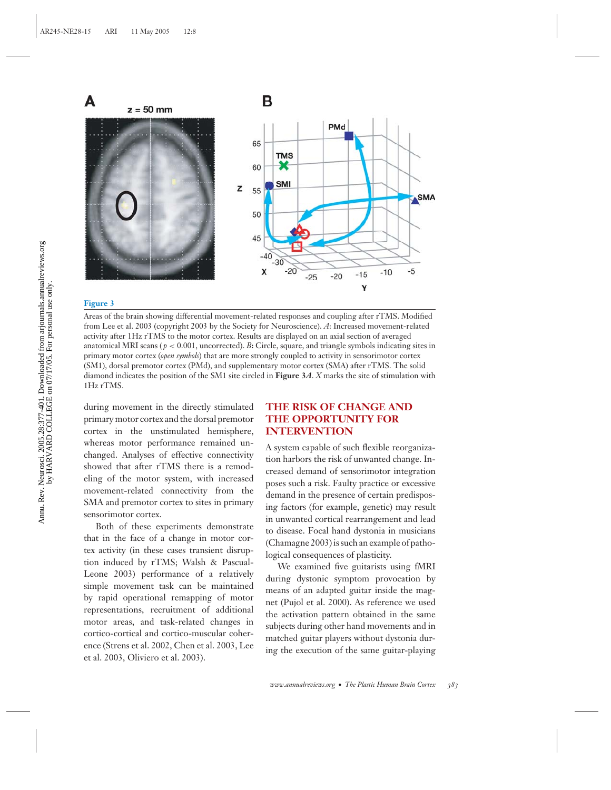

#### **Figure 3**

Areas of the brain showing differential movement-related responses and coupling after rTMS. Modified from Lee et al. 2003 (copyright 2003 by the Society for Neuroscience). *A*: Increased movement-related activity after 1Hz rTMS to the motor cortex. Results are displayed on an axial section of averaged anatomical MRI scans ( $p < 0.001$ , uncorrected). *B***:** Circle, square, and triangle symbols indicating sites in primary motor cortex (*open symbols*) that are more strongly coupled to activity in sensorimotor cortex (SM1), dorsal premotor cortex (PMd), and supplementary motor cortex (SMA) after rTMS. The solid diamond indicates the position of the SM1 site circled in **Figure 3***A*. *X* marks the site of stimulation with 1Hz rTMS.

during movement in the directly stimulated primary motor cortex and the dorsal premotor cortex in the unstimulated hemisphere, whereas motor performance remained unchanged. Analyses of effective connectivity showed that after rTMS there is a remodeling of the motor system, with increased movement-related connectivity from the SMA and premotor cortex to sites in primary sensorimotor cortex.

Both of these experiments demonstrate that in the face of a change in motor cortex activity (in these cases transient disruption induced by rTMS; Walsh & Pascual-Leone 2003) performance of a relatively simple movement task can be maintained by rapid operational remapping of motor representations, recruitment of additional motor areas, and task-related changes in cortico-cortical and cortico-muscular coherence (Strens et al. 2002, Chen et al. 2003, Lee et al. 2003, Oliviero et al. 2003).

## **THE RISK OF CHANGE AND THE OPPORTUNITY FOR INTERVENTION**

A system capable of such flexible reorganization harbors the risk of unwanted change. Increased demand of sensorimotor integration poses such a risk. Faulty practice or excessive demand in the presence of certain predisposing factors (for example, genetic) may result in unwanted cortical rearrangement and lead to disease. Focal hand dystonia in musicians (Chamagne 2003) is such an example of pathological consequences of plasticity.

We examined five guitarists using fMRI during dystonic symptom provocation by means of an adapted guitar inside the magnet (Pujol et al. 2000). As reference we used the activation pattern obtained in the same subjects during other hand movements and in matched guitar players without dystonia during the execution of the same guitar-playing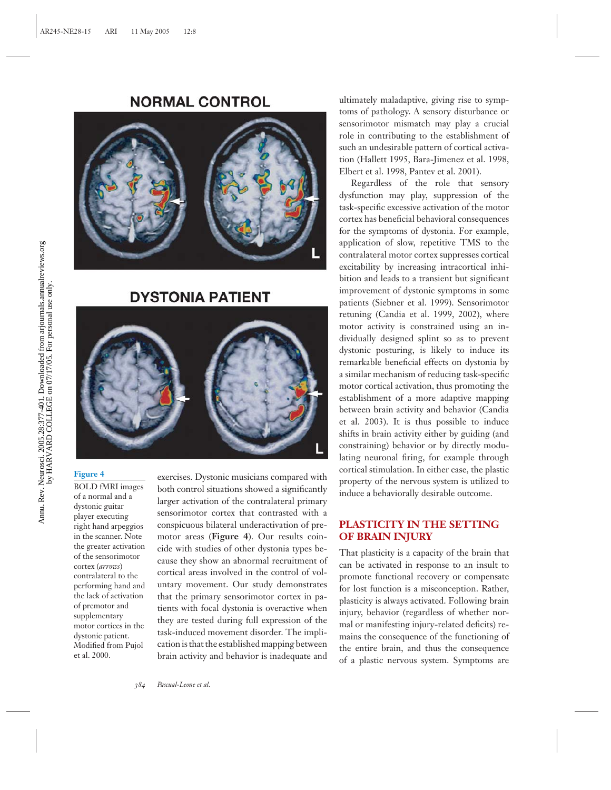# **NORMAL CONTROL**



# **DYSTONIA PATIENT**



#### **Figure 4**

BOLD fMRI images of a normal and a dystonic guitar player executing right hand arpeggios in the scanner. Note the greater activation of the sensorimotor cortex (*arrows*) contralateral to the performing hand and the lack of activation of premotor and supplementary motor cortices in the dystonic patient. Modified from Pujol et al. 2000.

exercises. Dystonic musicians compared with both control situations showed a significantly larger activation of the contralateral primary sensorimotor cortex that contrasted with a conspicuous bilateral underactivation of premotor areas (**Figure 4**). Our results coincide with studies of other dystonia types because they show an abnormal recruitment of cortical areas involved in the control of voluntary movement. Our study demonstrates that the primary sensorimotor cortex in patients with focal dystonia is overactive when they are tested during full expression of the task-induced movement disorder. The implication is that the established mapping between brain activity and behavior is inadequate and ultimately maladaptive, giving rise to symptoms of pathology. A sensory disturbance or sensorimotor mismatch may play a crucial role in contributing to the establishment of such an undesirable pattern of cortical activation (Hallett 1995, Bara-Jimenez et al. 1998, Elbert et al. 1998, Pantev et al. 2001).

Regardless of the role that sensory dysfunction may play, suppression of the task-specific excessive activation of the motor cortex has beneficial behavioral consequences for the symptoms of dystonia. For example, application of slow, repetitive TMS to the contralateral motor cortex suppresses cortical excitability by increasing intracortical inhibition and leads to a transient but significant improvement of dystonic symptoms in some patients (Siebner et al. 1999). Sensorimotor retuning (Candia et al. 1999, 2002), where motor activity is constrained using an individually designed splint so as to prevent dystonic posturing, is likely to induce its remarkable beneficial effects on dystonia by a similar mechanism of reducing task-specific motor cortical activation, thus promoting the establishment of a more adaptive mapping between brain activity and behavior (Candia et al. 2003). It is thus possible to induce shifts in brain activity either by guiding (and constraining) behavior or by directly modulating neuronal firing, for example through cortical stimulation. In either case, the plastic property of the nervous system is utilized to induce a behaviorally desirable outcome.

## **PLASTICITY IN THE SETTING OF BRAIN INJURY**

That plasticity is a capacity of the brain that can be activated in response to an insult to promote functional recovery or compensate for lost function is a misconception. Rather, plasticity is always activated. Following brain injury, behavior (regardless of whether normal or manifesting injury-related deficits) remains the consequence of the functioning of the entire brain, and thus the consequence of a plastic nervous system. Symptoms are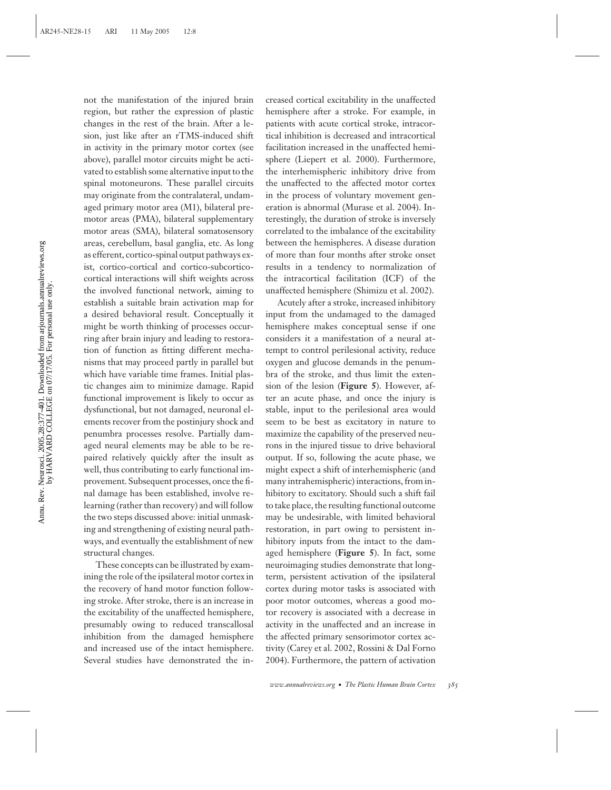not the manifestation of the injured brain region, but rather the expression of plastic changes in the rest of the brain. After a lesion, just like after an rTMS-induced shift in activity in the primary motor cortex (see above), parallel motor circuits might be activated to establish some alternative input to the spinal motoneurons. These parallel circuits may originate from the contralateral, undamaged primary motor area (M1), bilateral premotor areas (PMA), bilateral supplementary motor areas (SMA), bilateral somatosensory areas, cerebellum, basal ganglia, etc. As long as efferent, cortico-spinal output pathways exist, cortico-cortical and cortico-subcorticocortical interactions will shift weights across the involved functional network, aiming to establish a suitable brain activation map for a desired behavioral result. Conceptually it might be worth thinking of processes occurring after brain injury and leading to restoration of function as fitting different mechanisms that may proceed partly in parallel but which have variable time frames. Initial plastic changes aim to minimize damage. Rapid functional improvement is likely to occur as dysfunctional, but not damaged, neuronal elements recover from the postinjury shock and penumbra processes resolve. Partially damaged neural elements may be able to be repaired relatively quickly after the insult as well, thus contributing to early functional improvement. Subsequent processes, once the final damage has been established, involve relearning (rather than recovery) and will follow the two steps discussed above: initial unmasking and strengthening of existing neural pathways, and eventually the establishment of new structural changes.

These concepts can be illustrated by examining the role of the ipsilateral motor cortex in the recovery of hand motor function following stroke. After stroke, there is an increase in the excitability of the unaffected hemisphere, presumably owing to reduced transcallosal inhibition from the damaged hemisphere and increased use of the intact hemisphere. Several studies have demonstrated the increased cortical excitability in the unaffected hemisphere after a stroke. For example, in patients with acute cortical stroke, intracortical inhibition is decreased and intracortical facilitation increased in the unaffected hemisphere (Liepert et al. 2000). Furthermore, the interhemispheric inhibitory drive from the unaffected to the affected motor cortex in the process of voluntary movement generation is abnormal (Murase et al. 2004). Interestingly, the duration of stroke is inversely correlated to the imbalance of the excitability between the hemispheres. A disease duration of more than four months after stroke onset results in a tendency to normalization of the intracortical facilitation (ICF) of the unaffected hemisphere (Shimizu et al. 2002).

Acutely after a stroke, increased inhibitory input from the undamaged to the damaged hemisphere makes conceptual sense if one considers it a manifestation of a neural attempt to control perilesional activity, reduce oxygen and glucose demands in the penumbra of the stroke, and thus limit the extension of the lesion (**Figure 5**). However, after an acute phase, and once the injury is stable, input to the perilesional area would seem to be best as excitatory in nature to maximize the capability of the preserved neurons in the injured tissue to drive behavioral output. If so, following the acute phase, we might expect a shift of interhemispheric (and many intrahemispheric) interactions, from inhibitory to excitatory. Should such a shift fail to take place, the resulting functional outcome may be undesirable, with limited behavioral restoration, in part owing to persistent inhibitory inputs from the intact to the damaged hemisphere (**Figure 5**). In fact, some neuroimaging studies demonstrate that longterm, persistent activation of the ipsilateral cortex during motor tasks is associated with poor motor outcomes, whereas a good motor recovery is associated with a decrease in activity in the unaffected and an increase in the affected primary sensorimotor cortex activity (Carey et al. 2002, Rossini & Dal Forno 2004). Furthermore, the pattern of activation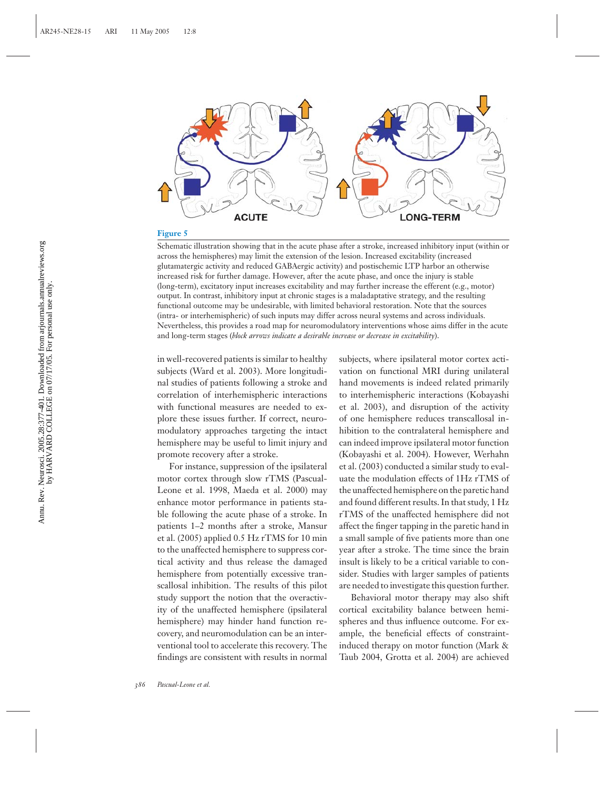

#### **Figure 5**

Schematic illustration showing that in the acute phase after a stroke, increased inhibitory input (within or across the hemispheres) may limit the extension of the lesion. Increased excitability (increased glutamatergic activity and reduced GABAergic activity) and postischemic LTP harbor an otherwise increased risk for further damage. However, after the acute phase, and once the injury is stable (long-term), excitatory input increases excitability and may further increase the efferent (e.g., motor) output. In contrast, inhibitory input at chronic stages is a maladaptative strategy, and the resulting functional outcome may be undesirable, with limited behavioral restoration. Note that the sources (intra- or interhemispheric) of such inputs may differ across neural systems and across individuals. Nevertheless, this provides a road map for neuromodulatory interventions whose aims differ in the acute and long-term stages (*block arrows indicate a desirable increase or decrease in excitability*).

in well-recovered patients is similar to healthy subjects (Ward et al. 2003). More longitudinal studies of patients following a stroke and correlation of interhemispheric interactions with functional measures are needed to explore these issues further. If correct, neuromodulatory approaches targeting the intact hemisphere may be useful to limit injury and promote recovery after a stroke.

For instance, suppression of the ipsilateral motor cortex through slow rTMS (Pascual-Leone et al. 1998, Maeda et al. 2000) may enhance motor performance in patients stable following the acute phase of a stroke. In patients 1–2 months after a stroke, Mansur et al. (2005) applied 0.5 Hz rTMS for 10 min to the unaffected hemisphere to suppress cortical activity and thus release the damaged hemisphere from potentially excessive transcallosal inhibition. The results of this pilot study support the notion that the overactivity of the unaffected hemisphere (ipsilateral hemisphere) may hinder hand function recovery, and neuromodulation can be an interventional tool to accelerate this recovery. The findings are consistent with results in normal

subjects, where ipsilateral motor cortex activation on functional MRI during unilateral hand movements is indeed related primarily to interhemispheric interactions (Kobayashi et al. 2003), and disruption of the activity of one hemisphere reduces transcallosal inhibition to the contralateral hemisphere and can indeed improve ipsilateral motor function (Kobayashi et al. 2004). However, Werhahn et al. (2003) conducted a similar study to evaluate the modulation effects of 1Hz rTMS of the unaffected hemisphere on the paretic hand and found different results. In that study, 1 Hz rTMS of the unaffected hemisphere did not affect the finger tapping in the paretic hand in a small sample of five patients more than one year after a stroke. The time since the brain insult is likely to be a critical variable to consider. Studies with larger samples of patients are needed to investigate this question further.

Behavioral motor therapy may also shift cortical excitability balance between hemispheres and thus influence outcome. For example, the beneficial effects of constraintinduced therapy on motor function (Mark & Taub 2004, Grotta et al. 2004) are achieved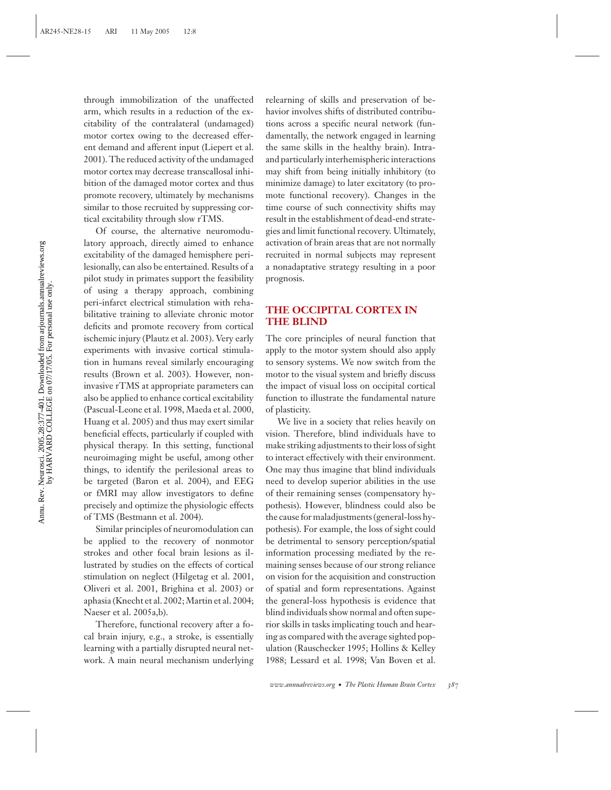through immobilization of the unaffected arm, which results in a reduction of the excitability of the contralateral (undamaged) motor cortex owing to the decreased efferent demand and afferent input (Liepert et al. 2001). The reduced activity of the undamaged motor cortex may decrease transcallosal inhibition of the damaged motor cortex and thus promote recovery, ultimately by mechanisms similar to those recruited by suppressing cortical excitability through slow rTMS.

Of course, the alternative neuromodulatory approach, directly aimed to enhance excitability of the damaged hemisphere perilesionally, can also be entertained. Results of a pilot study in primates support the feasibility of using a therapy approach, combining peri-infarct electrical stimulation with rehabilitative training to alleviate chronic motor deficits and promote recovery from cortical ischemic injury (Plautz et al. 2003). Very early experiments with invasive cortical stimulation in humans reveal similarly encouraging results (Brown et al. 2003). However, noninvasive rTMS at appropriate parameters can also be applied to enhance cortical excitability (Pascual-Leone et al. 1998, Maeda et al. 2000, Huang et al. 2005) and thus may exert similar beneficial effects, particularly if coupled with physical therapy. In this setting, functional neuroimaging might be useful, among other things, to identify the perilesional areas to be targeted (Baron et al. 2004), and EEG or fMRI may allow investigators to define precisely and optimize the physiologic effects of TMS (Bestmann et al. 2004).

Similar principles of neuromodulation can be applied to the recovery of nonmotor strokes and other focal brain lesions as illustrated by studies on the effects of cortical stimulation on neglect (Hilgetag et al. 2001, Oliveri et al. 2001, Brighina et al. 2003) or aphasia (Knecht et al. 2002; Martin et al. 2004; Naeser et al. 2005a,b).

Therefore, functional recovery after a focal brain injury, e.g., a stroke, is essentially learning with a partially disrupted neural network. A main neural mechanism underlying relearning of skills and preservation of behavior involves shifts of distributed contributions across a specific neural network (fundamentally, the network engaged in learning the same skills in the healthy brain). Intraand particularly interhemispheric interactions may shift from being initially inhibitory (to minimize damage) to later excitatory (to promote functional recovery). Changes in the time course of such connectivity shifts may result in the establishment of dead-end strategies and limit functional recovery. Ultimately, activation of brain areas that are not normally recruited in normal subjects may represent a nonadaptative strategy resulting in a poor prognosis.

## **THE OCCIPITAL CORTEX IN THE BLIND**

The core principles of neural function that apply to the motor system should also apply to sensory systems. We now switch from the motor to the visual system and briefly discuss the impact of visual loss on occipital cortical function to illustrate the fundamental nature of plasticity.

We live in a society that relies heavily on vision. Therefore, blind individuals have to make striking adjustments to their loss of sight to interact effectively with their environment. One may thus imagine that blind individuals need to develop superior abilities in the use of their remaining senses (compensatory hypothesis). However, blindness could also be the cause for maladjustments (general-loss hypothesis). For example, the loss of sight could be detrimental to sensory perception/spatial information processing mediated by the remaining senses because of our strong reliance on vision for the acquisition and construction of spatial and form representations. Against the general-loss hypothesis is evidence that blind individuals show normal and often superior skills in tasks implicating touch and hearing as compared with the average sighted population (Rauschecker 1995; Hollins & Kelley 1988; Lessard et al. 1998; Van Boven et al.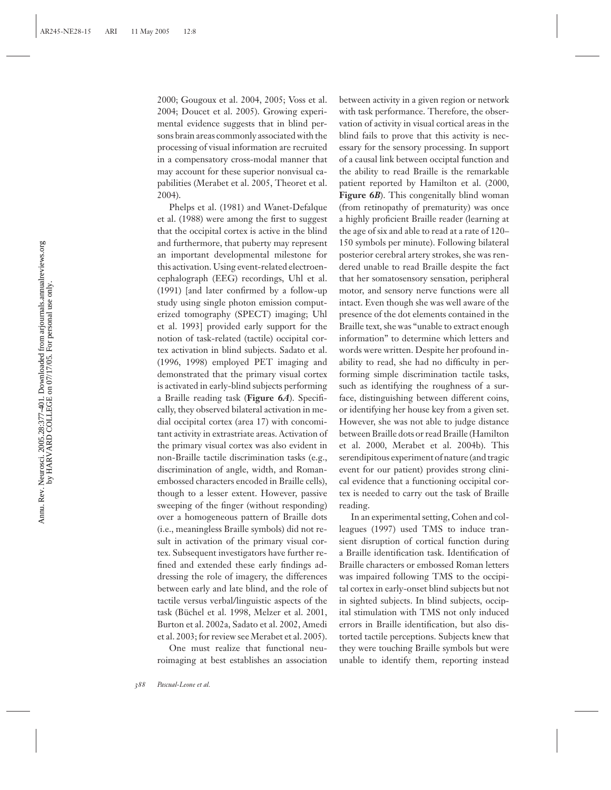2000; Gougoux et al. 2004, 2005; Voss et al. 2004; Doucet et al. 2005). Growing experimental evidence suggests that in blind persons brain areas commonly associated with the processing of visual information are recruited in a compensatory cross-modal manner that may account for these superior nonvisual capabilities (Merabet et al. 2005, Theoret et al. 2004).

Phelps et al. (1981) and Wanet-Defalque et al. (1988) were among the first to suggest that the occipital cortex is active in the blind and furthermore, that puberty may represent an important developmental milestone for this activation. Using event-related electroencephalograph (EEG) recordings, Uhl et al. (1991) [and later confirmed by a follow-up study using single photon emission computerized tomography (SPECT) imaging; Uhl et al. 1993] provided early support for the notion of task-related (tactile) occipital cortex activation in blind subjects. Sadato et al. (1996, 1998) employed PET imaging and demonstrated that the primary visual cortex is activated in early-blind subjects performing a Braille reading task (**Figure 6***A*). Specifically, they observed bilateral activation in medial occipital cortex (area 17) with concomitant activity in extrastriate areas. Activation of the primary visual cortex was also evident in non-Braille tactile discrimination tasks (e.g., discrimination of angle, width, and Romanembossed characters encoded in Braille cells), though to a lesser extent. However, passive sweeping of the finger (without responding) over a homogeneous pattern of Braille dots (i.e., meaningless Braille symbols) did not result in activation of the primary visual cortex. Subsequent investigators have further refined and extended these early findings addressing the role of imagery, the differences between early and late blind, and the role of tactile versus verbal/linguistic aspects of the task (Büchel et al. 1998, Melzer et al. 2001, Burton et al. 2002a, Sadato et al. 2002, Amedi et al. 2003; for review see Merabet et al. 2005).

One must realize that functional neuroimaging at best establishes an association between activity in a given region or network with task performance. Therefore, the observation of activity in visual cortical areas in the blind fails to prove that this activity is necessary for the sensory processing. In support of a causal link between occiptal function and the ability to read Braille is the remarkable patient reported by Hamilton et al. (2000, **Figure 6***B*). This congenitally blind woman (from retinopathy of prematurity) was once a highly proficient Braille reader (learning at the age of six and able to read at a rate of 120– 150 symbols per minute). Following bilateral posterior cerebral artery strokes, she was rendered unable to read Braille despite the fact that her somatosensory sensation, peripheral motor, and sensory nerve functions were all intact. Even though she was well aware of the presence of the dot elements contained in the Braille text, she was "unable to extract enough information" to determine which letters and words were written. Despite her profound inability to read, she had no difficulty in performing simple discrimination tactile tasks, such as identifying the roughness of a surface, distinguishing between different coins, or identifying her house key from a given set. However, she was not able to judge distance between Braille dots or read Braille (Hamilton et al. 2000, Merabet et al. 2004b). This serendipitous experiment of nature (and tragic event for our patient) provides strong clinical evidence that a functioning occipital cortex is needed to carry out the task of Braille reading.

In an experimental setting, Cohen and colleagues (1997) used TMS to induce transient disruption of cortical function during a Braille identification task. Identification of Braille characters or embossed Roman letters was impaired following TMS to the occipital cortex in early-onset blind subjects but not in sighted subjects. In blind subjects, occipital stimulation with TMS not only induced errors in Braille identification, but also distorted tactile perceptions. Subjects knew that they were touching Braille symbols but were unable to identify them, reporting instead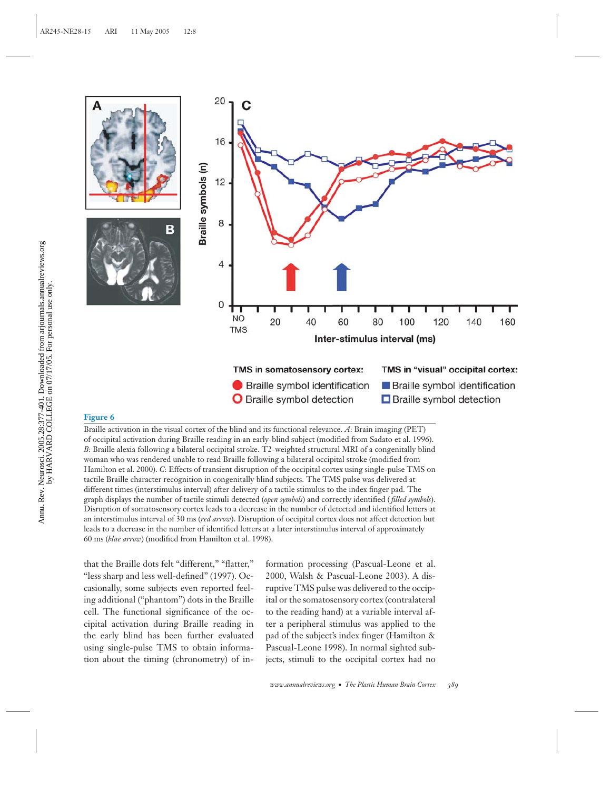

#### **Figure 6**

Braille activation in the visual cortex of the blind and its functional relevance. *A*: Brain imaging (PET) of occipital activation during Braille reading in an early-blind subject (modified from Sadato et al. 1996). *B*: Braille alexia following a bilateral occipital stroke. T2-weighted structural MRI of a congenitally blind woman who was rendered unable to read Braille following a bilateral occipital stroke (modified from Hamilton et al. 2000). *C*: Effects of transient disruption of the occipital cortex using single-pulse TMS on tactile Braille character recognition in congenitally blind subjects. The TMS pulse was delivered at different times (interstimulus interval) after delivery of a tactile stimulus to the index finger pad. The graph displays the number of tactile stimuli detected (*open symbols*) and correctly identified ( *filled symbols*). Disruption of somatosensory cortex leads to a decrease in the number of detected and identified letters at an interstimulus interval of 30 ms (*red arrow*). Disruption of occipital cortex does not affect detection but leads to a decrease in the number of identified letters at a later interstimulus interval of approximately 60 ms (*blue arrow*) (modified from Hamilton et al. 1998).

that the Braille dots felt "different," "flatter," "less sharp and less well-defined" (1997). Occasionally, some subjects even reported feeling additional ("phantom") dots in the Braille cell. The functional significance of the occipital activation during Braille reading in the early blind has been further evaluated using single-pulse TMS to obtain information about the timing (chronometry) of information processing (Pascual-Leone et al. 2000, Walsh & Pascual-Leone 2003). A disruptive TMS pulse was delivered to the occipital or the somatosensory cortex (contralateral to the reading hand) at a variable interval after a peripheral stimulus was applied to the pad of the subject's index finger (Hamilton & Pascual-Leone 1998). In normal sighted subjects, stimuli to the occipital cortex had no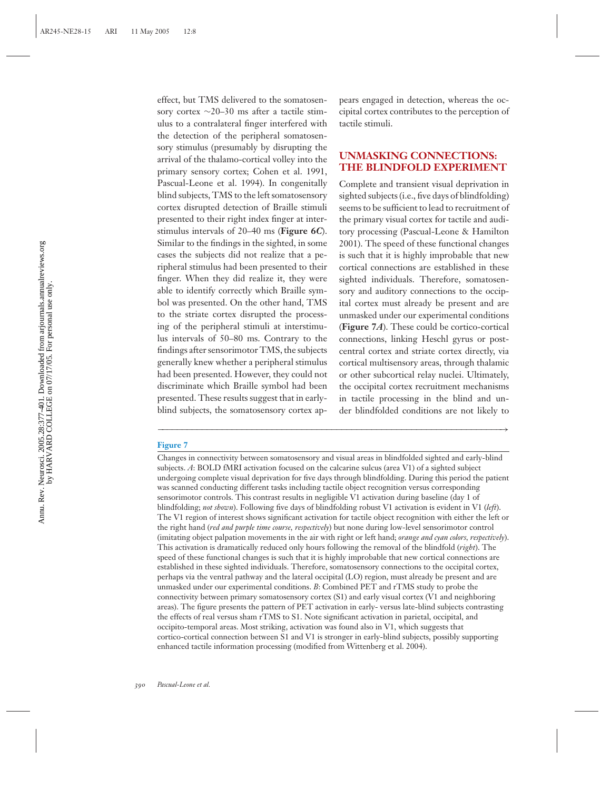effect, but TMS delivered to the somatosensory cortex ∼20–30 ms after a tactile stimulus to a contralateral finger interfered with the detection of the peripheral somatosensory stimulus (presumably by disrupting the arrival of the thalamo-cortical volley into the primary sensory cortex; Cohen et al. 1991, Pascual-Leone et al. 1994). In congenitally blind subjects, TMS to the left somatosensory cortex disrupted detection of Braille stimuli presented to their right index finger at interstimulus intervals of 20–40 ms (**Figure 6***C*). Similar to the findings in the sighted, in some cases the subjects did not realize that a peripheral stimulus had been presented to their finger. When they did realize it, they were able to identify correctly which Braille symbol was presented. On the other hand, TMS to the striate cortex disrupted the processing of the peripheral stimuli at interstimulus intervals of 50–80 ms. Contrary to the findings after sensorimotor TMS, the subjects generally knew whether a peripheral stimulus had been presented. However, they could not discriminate which Braille symbol had been presented. These results suggest that in earlyblind subjects, the somatosensory cortex appears engaged in detection, whereas the occipital cortex contributes to the perception of tactile stimuli.

## **UNMASKING CONNECTIONS: THE BLINDFOLD EXPERIMENT**

Complete and transient visual deprivation in sighted subjects (i.e., five days of blindfolding) seems to be sufficient to lead to recruitment of the primary visual cortex for tactile and auditory processing (Pascual-Leone & Hamilton 2001). The speed of these functional changes is such that it is highly improbable that new cortical connections are established in these sighted individuals. Therefore, somatosensory and auditory connections to the occipital cortex must already be present and are unmasked under our experimental conditions (**Figure 7***A*). These could be cortico-cortical connections, linking Heschl gyrus or postcentral cortex and striate cortex directly, via cortical multisensory areas, through thalamic or other subcortical relay nuclei. Ultimately, the occipital cortex recruitment mechanisms in tactile processing in the blind and under blindfolded conditions are not likely to

#### **Figure 7**

Changes in connectivity between somatosensory and visual areas in blindfolded sighted and early-blind subjects. *A*: BOLD fMRI activation focused on the calcarine sulcus (area V1) of a sighted subject undergoing complete visual deprivation for five days through blindfolding. During this period the patient was scanned conducting different tasks including tactile object recognition versus corresponding sensorimotor controls. This contrast results in negligible V1 activation during baseline (day 1 of blindfolding; *not shown*). Following five days of blindfolding robust V1 activation is evident in V1 (*left*). The V1 region of interest shows significant activation for tactile object recognition with either the left or the right hand (*red and purple time course, respectively*) but none during low-level sensorimotor control (imitating object palpation movements in the air with right or left hand; *orange and cyan colors, respectively*). This activation is dramatically reduced only hours following the removal of the blindfold (*right*). The speed of these functional changes is such that it is highly improbable that new cortical connections are established in these sighted individuals. Therefore, somatosensory connections to the occipital cortex, perhaps via the ventral pathway and the lateral occipital (LO) region, must already be present and are unmasked under our experimental conditions. *B*: Combined PET and rTMS study to probe the connectivity between primary somatosensory cortex (S1) and early visual cortex (V1 and neighboring areas). The figure presents the pattern of PET activation in early- versus late-blind subjects contrasting the effects of real versus sham rTMS to S1. Note significant activation in parietal, occipital, and occipito-temporal areas. Most striking, activation was found also in V1, which suggests that cortico-cortical connection between S1 and V1 is stronger in early-blind subjects, possibly supporting enhanced tactile information processing (modified from Wittenberg et al. 2004).

−−−−−−−−−−−−−−−−−−−−−−−−−−−−−−−−−−−−−−−−−−−−−−−−−−−−−−−−−−−−−−−−−−−−−→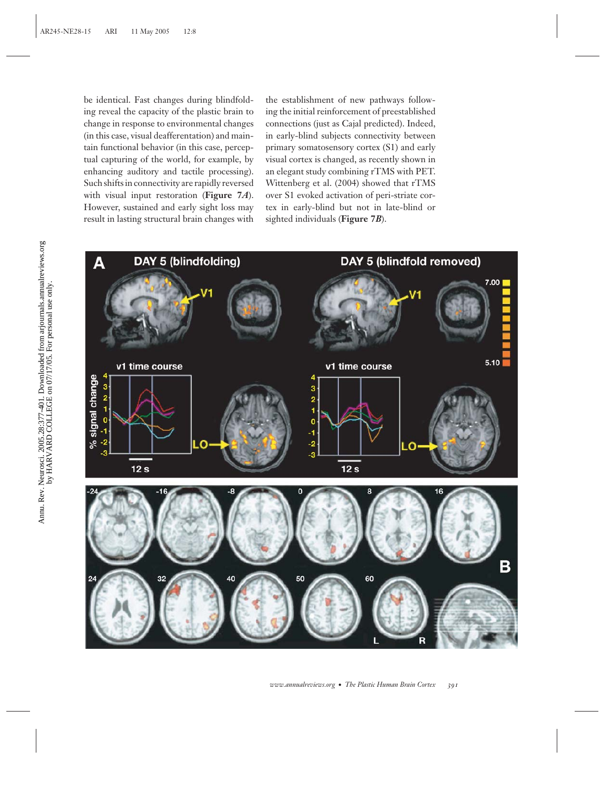be identical. Fast changes during blindfolding reveal the capacity of the plastic brain to change in response to environmental changes (in this case, visual deafferentation) and maintain functional behavior (in this case, perceptual capturing of the world, for example, by enhancing auditory and tactile processing). Such shifts in connectivity are rapidly reversed with visual input restoration (**Figure 7***A*). However, sustained and early sight loss may result in lasting structural brain changes with the establishment of new pathways following the initial reinforcement of preestablished connections (just as Cajal predicted). Indeed, in early-blind subjects connectivity between primary somatosensory cortex (S1) and early visual cortex is changed, as recently shown in an elegant study combining rTMS with PET. Wittenberg et al. (2004) showed that rTMS over S1 evoked activation of peri-striate cortex in early-blind but not in late-blind or sighted individuals (**Figure 7***B*).

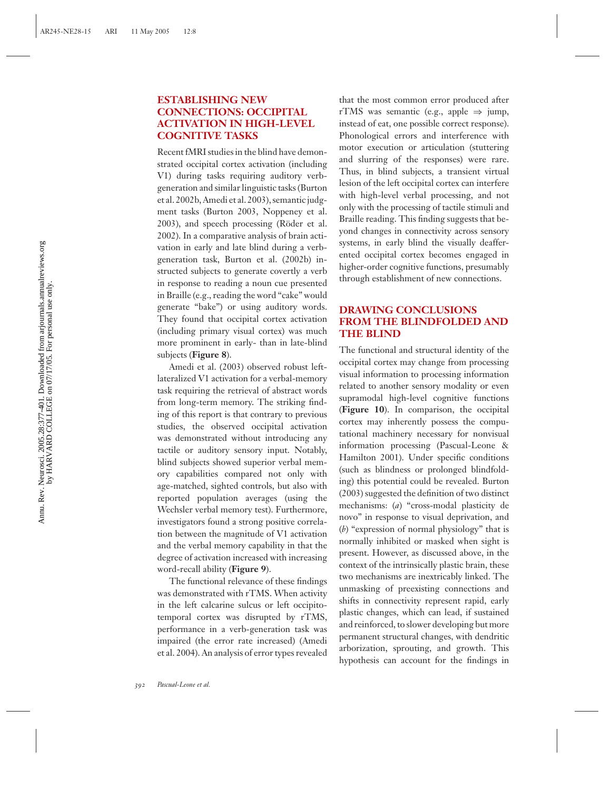## **ESTABLISHING NEW CONNECTIONS: OCCIPITAL ACTIVATION IN HIGH-LEVEL COGNITIVE TASKS**

Recent fMRI studies in the blind have demonstrated occipital cortex activation (including V1) during tasks requiring auditory verbgeneration and similar linguistic tasks (Burton et al. 2002b, Amedi et al. 2003), semantic judgment tasks (Burton 2003, Noppeney et al. 2003), and speech processing (Röder et al. 2002). In a comparative analysis of brain activation in early and late blind during a verbgeneration task, Burton et al. (2002b) instructed subjects to generate covertly a verb in response to reading a noun cue presented in Braille (e.g., reading the word "cake" would generate "bake") or using auditory words. They found that occipital cortex activation (including primary visual cortex) was much more prominent in early- than in late-blind subjects (**Figure 8**).

Amedi et al. (2003) observed robust leftlateralized V1 activation for a verbal-memory task requiring the retrieval of abstract words from long-term memory. The striking finding of this report is that contrary to previous studies, the observed occipital activation was demonstrated without introducing any tactile or auditory sensory input. Notably, blind subjects showed superior verbal memory capabilities compared not only with age-matched, sighted controls, but also with reported population averages (using the Wechsler verbal memory test). Furthermore, investigators found a strong positive correlation between the magnitude of V1 activation and the verbal memory capability in that the degree of activation increased with increasing word-recall ability (**Figure 9**).

The functional relevance of these findings was demonstrated with rTMS. When activity in the left calcarine sulcus or left occipitotemporal cortex was disrupted by rTMS, performance in a verb-generation task was impaired (the error rate increased) (Amedi et al. 2004). An analysis of error types revealed

that the most common error produced after rTMS was semantic (e.g., apple  $\Rightarrow$  jump, instead of eat, one possible correct response). Phonological errors and interference with motor execution or articulation (stuttering and slurring of the responses) were rare. Thus, in blind subjects, a transient virtual lesion of the left occipital cortex can interfere with high-level verbal processing, and not only with the processing of tactile stimuli and Braille reading. This finding suggests that beyond changes in connectivity across sensory systems, in early blind the visually deafferented occipital cortex becomes engaged in higher-order cognitive functions, presumably through establishment of new connections.

## **DRAWING CONCLUSIONS FROM THE BLINDFOLDED AND THE BLIND**

The functional and structural identity of the occipital cortex may change from processing visual information to processing information related to another sensory modality or even supramodal high-level cognitive functions (**Figure 10**). In comparison, the occipital cortex may inherently possess the computational machinery necessary for nonvisual information processing (Pascual-Leone & Hamilton 2001). Under specific conditions (such as blindness or prolonged blindfolding) this potential could be revealed. Burton (2003) suggested the definition of two distinct mechanisms: (*a*) "cross-modal plasticity de novo" in response to visual deprivation, and (*b*) "expression of normal physiology" that is normally inhibited or masked when sight is present. However, as discussed above, in the context of the intrinsically plastic brain, these two mechanisms are inextricably linked. The unmasking of preexisting connections and shifts in connectivity represent rapid, early plastic changes, which can lead, if sustained and reinforced, to slower developing but more permanent structural changes, with dendritic arborization, sprouting, and growth. This hypothesis can account for the findings in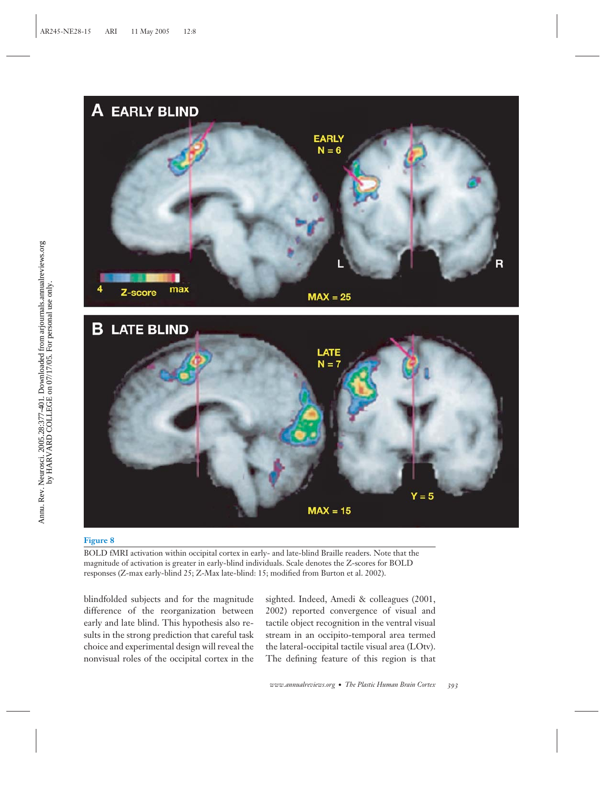

## **Figure 8**

BOLD fMRI activation within occipital cortex in early- and late-blind Braille readers. Note that the magnitude of activation is greater in early-blind individuals. Scale denotes the Z-scores for BOLD responses (Z-max early-blind 25; Z-Max late-blind: 15; modified from Burton et al. 2002).

blindfolded subjects and for the magnitude difference of the reorganization between early and late blind. This hypothesis also results in the strong prediction that careful task choice and experimental design will reveal the nonvisual roles of the occipital cortex in the

sighted. Indeed, Amedi & colleagues (2001, 2002) reported convergence of visual and tactile object recognition in the ventral visual stream in an occipito-temporal area termed the lateral-occipital tactile visual area (LOtv). The defining feature of this region is that

 $MAX = 15$ 

 $Y = 5$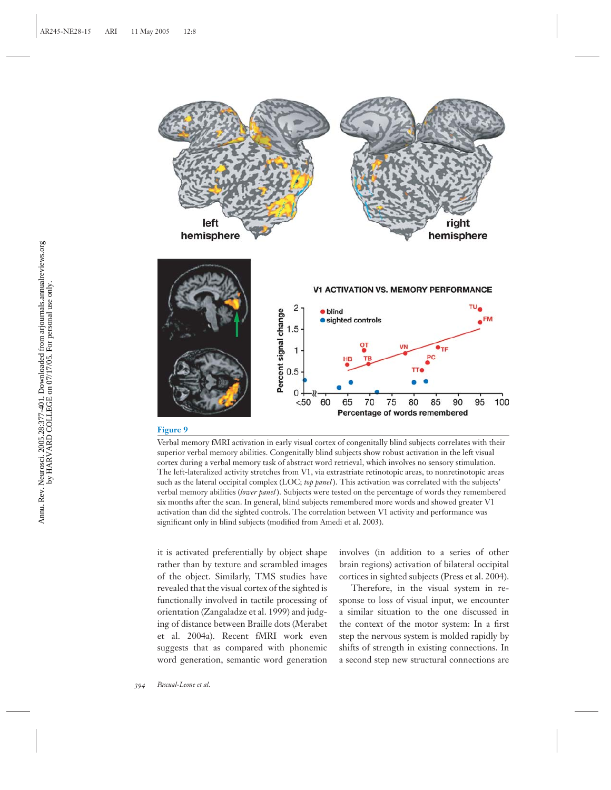

**Figure 9**

Verbal memory fMRI activation in early visual cortex of congenitally blind subjects correlates with their superior verbal memory abilities. Congenitally blind subjects show robust activation in the left visual cortex during a verbal memory task of abstract word retrieval, which involves no sensory stimulation. The left-lateralized activity stretches from V1, via extrastriate retinotopic areas, to nonretinotopic areas such as the lateral occipital complex (LOC; *top panel* ). This activation was correlated with the subjects' verbal memory abilities (*lower panel* ). Subjects were tested on the percentage of words they remembered six months after the scan. In general, blind subjects remembered more words and showed greater V1 activation than did the sighted controls. The correlation between V1 activity and performance was significant only in blind subjects (modified from Amedi et al. 2003).

it is activated preferentially by object shape rather than by texture and scrambled images of the object. Similarly, TMS studies have revealed that the visual cortex of the sighted is functionally involved in tactile processing of orientation (Zangaladze et al. 1999) and judging of distance between Braille dots (Merabet et al. 2004a). Recent fMRI work even suggests that as compared with phonemic word generation, semantic word generation

involves (in addition to a series of other brain regions) activation of bilateral occipital cortices in sighted subjects (Press et al. 2004).

Therefore, in the visual system in response to loss of visual input, we encounter a similar situation to the one discussed in the context of the motor system: In a first step the nervous system is molded rapidly by shifts of strength in existing connections. In a second step new structural connections are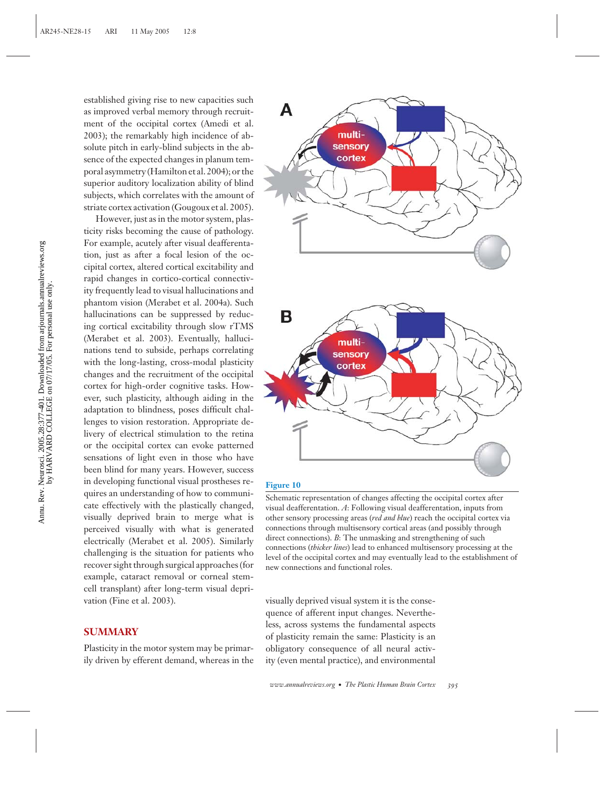established giving rise to new capacities such as improved verbal memory through recruitment of the occipital cortex (Amedi et al. 2003); the remarkably high incidence of absolute pitch in early-blind subjects in the absence of the expected changes in planum temporal asymmetry (Hamilton et al. 2004); or the superior auditory localization ability of blind subjects, which correlates with the amount of striate cortex activation (Gougoux et al. 2005).

However, just as in the motor system, plasticity risks becoming the cause of pathology. For example, acutely after visual deafferentation, just as after a focal lesion of the occipital cortex, altered cortical excitability and rapid changes in cortico-cortical connectivity frequently lead to visual hallucinations and phantom vision (Merabet et al. 2004a). Such hallucinations can be suppressed by reducing cortical excitability through slow rTMS (Merabet et al. 2003). Eventually, hallucinations tend to subside, perhaps correlating with the long-lasting, cross-modal plasticity changes and the recruitment of the occipital cortex for high-order cognitive tasks. However, such plasticity, although aiding in the adaptation to blindness, poses difficult challenges to vision restoration. Appropriate delivery of electrical stimulation to the retina or the occipital cortex can evoke patterned sensations of light even in those who have been blind for many years. However, success in developing functional visual prostheses requires an understanding of how to communicate effectively with the plastically changed, visually deprived brain to merge what is perceived visually with what is generated electrically (Merabet et al. 2005). Similarly challenging is the situation for patients who recover sight through surgical approaches (for example, cataract removal or corneal stemcell transplant) after long-term visual deprivation (Fine et al. 2003).

### **SUMMARY**

Plasticity in the motor system may be primarily driven by efferent demand, whereas in the



#### **Figure 10**

Schematic representation of changes affecting the occipital cortex after visual deafferentation. *A*: Following visual deafferentation, inputs from other sensory processing areas (*red and blue*) reach the occipital cortex via connections through multisensory cortical areas (and possibly through direct connections). *B*: The unmasking and strengthening of such connections (*thicker lines*) lead to enhanced multisensory processing at the level of the occipital cortex and may eventually lead to the establishment of new connections and functional roles.

visually deprived visual system it is the consequence of afferent input changes. Nevertheless, across systems the fundamental aspects of plasticity remain the same: Plasticity is an obligatory consequence of all neural activity (even mental practice), and environmental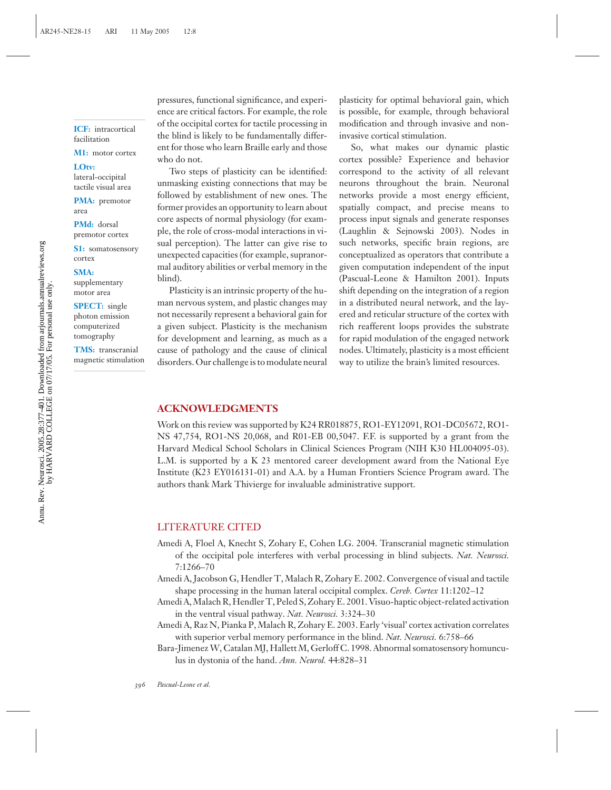**ICF:** intracortical facilitation

**M1:** motor cortex

#### **LOtv:**

lateral-occipital tactile visual area

**PMA:** premotor area

**PMd:** dorsal premotor cortex

**S1:** somatosensory cortex

#### **SMA:**

supplementary motor area

**SPECT:** single photon emission computerized tomography

**TMS:** transcranial magnetic stimulation pressures, functional significance, and experience are critical factors. For example, the role of the occipital cortex for tactile processing in the blind is likely to be fundamentally different for those who learn Braille early and those who do not.

Two steps of plasticity can be identified: unmasking existing connections that may be followed by establishment of new ones. The former provides an opportunity to learn about core aspects of normal physiology (for example, the role of cross-modal interactions in visual perception). The latter can give rise to unexpected capacities (for example, supranormal auditory abilities or verbal memory in the blind).

Plasticity is an intrinsic property of the human nervous system, and plastic changes may not necessarily represent a behavioral gain for a given subject. Plasticity is the mechanism for development and learning, as much as a cause of pathology and the cause of clinical disorders. Our challenge is to modulate neural plasticity for optimal behavioral gain, which is possible, for example, through behavioral modification and through invasive and noninvasive cortical stimulation.

So, what makes our dynamic plastic cortex possible? Experience and behavior correspond to the activity of all relevant neurons throughout the brain. Neuronal networks provide a most energy efficient, spatially compact, and precise means to process input signals and generate responses (Laughlin & Sejnowski 2003). Nodes in such networks, specific brain regions, are conceptualized as operators that contribute a given computation independent of the input (Pascual-Leone & Hamilton 2001). Inputs shift depending on the integration of a region in a distributed neural network, and the layered and reticular structure of the cortex with rich reafferent loops provides the substrate for rapid modulation of the engaged network nodes. Ultimately, plasticity is a most efficient way to utilize the brain's limited resources.

#### **ACKNOWLEDGMENTS**

Work on this review was supported by K24 RR018875, RO1-EY12091, RO1-DC05672, RO1- NS 47,754, RO1-NS 20,068, and R01-EB 00,5047. F.F. is supported by a grant from the Harvard Medical School Scholars in Clinical Sciences Program (NIH K30 HL004095-03). L.M. is supported by a K 23 mentored career development award from the National Eye Institute (K23 EY016131-01) and A.A. by a Human Frontiers Science Program award. The authors thank Mark Thivierge for invaluable administrative support.

#### LITERATURE CITED

Amedi A, Floel A, Knecht S, Zohary E, Cohen LG. 2004. Transcranial magnetic stimulation of the occipital pole interferes with verbal processing in blind subjects. *Nat. Neurosci.* 7:1266–70

Amedi A, Jacobson G, Hendler T, Malach R, Zohary E. 2002. Convergence of visual and tactile shape processing in the human lateral occipital complex. *Cereb. Cortex* 11:1202–12

- Amedi A, Malach R, Hendler T, Peled S, Zohary E. 2001. Visuo-haptic object-related activation in the ventral visual pathway. *Nat. Neurosci.* 3:324–30
- Amedi A, Raz N, Pianka P, Malach R, Zohary E. 2003. Early 'visual' cortex activation correlates with superior verbal memory performance in the blind. *Nat. Neurosci.* 6:758–66

Bara-Jimenez W, Catalan MJ, Hallett M, Gerloff C. 1998. Abnormal somatosensory homunculus in dystonia of the hand. *Ann. Neurol.* 44:828–31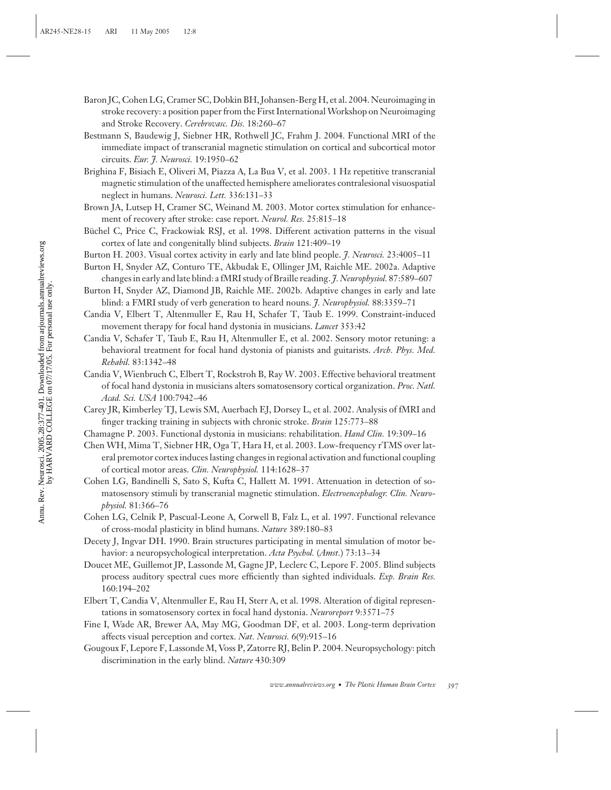- Baron JC, Cohen LG, Cramer SC, Dobkin BH, Johansen-Berg H, et al. 2004. Neuroimaging in stroke recovery: a position paper from the First International Workshop on Neuroimaging and Stroke Recovery. *Cerebrovasc. Dis.* 18:260–67
- Bestmann S, Baudewig J, Siebner HR, Rothwell JC, Frahm J. 2004. Functional MRI of the immediate impact of transcranial magnetic stimulation on cortical and subcortical motor circuits. *Eur. J. Neurosci.* 19:1950–62
- Brighina F, Bisiach E, Oliveri M, Piazza A, La Bua V, et al. 2003. 1 Hz repetitive transcranial magnetic stimulation of the unaffected hemisphere ameliorates contralesional visuospatial neglect in humans. *Neurosci. Lett.* 336:131–33
- Brown JA, Lutsep H, Cramer SC, Weinand M. 2003. Motor cortex stimulation for enhancement of recovery after stroke: case report. *Neurol. Res.* 25:815–18
- Büchel C, Price C, Frackowiak RSJ, et al. 1998. Different activation patterns in the visual cortex of late and congenitally blind subjects. *Brain* 121:409–19
- Burton H. 2003. Visual cortex activity in early and late blind people. *J. Neurosci.* 23:4005–11
- Burton H, Snyder AZ, Conturo TE, Akbudak E, Ollinger JM, Raichle ME. 2002a. Adaptive changes in early and late blind: a fMRI study of Braille reading. *J. Neurophysiol.* 87:589–607
- Burton H, Snyder AZ, Diamond JB, Raichle ME. 2002b. Adaptive changes in early and late blind: a FMRI study of verb generation to heard nouns. *J. Neurophysiol.* 88:3359–71
- Candia V, Elbert T, Altenmuller E, Rau H, Schafer T, Taub E. 1999. Constraint-induced movement therapy for focal hand dystonia in musicians. *Lancet* 353:42
- Candia V, Schafer T, Taub E, Rau H, Altenmuller E, et al. 2002. Sensory motor retuning: a behavioral treatment for focal hand dystonia of pianists and guitarists. *Arch. Phys. Med. Rehabil.* 83:1342–48
- Candia V, Wienbruch C, Elbert T, Rockstroh B, Ray W. 2003. Effective behavioral treatment of focal hand dystonia in musicians alters somatosensory cortical organization. *Proc. Natl. Acad. Sci. USA* 100:7942–46
- Carey JR, Kimberley TJ, Lewis SM, Auerbach EJ, Dorsey L, et al. 2002. Analysis of fMRI and finger tracking training in subjects with chronic stroke. *Brain* 125:773–88
- Chamagne P. 2003. Functional dystonia in musicians: rehabilitation. *Hand Clin.* 19:309–16
- Chen WH, Mima T, Siebner HR, Oga T, Hara H, et al. 2003. Low-frequency rTMS over lateral premotor cortex induces lasting changes in regional activation and functional coupling of cortical motor areas. *Clin. Neurophysiol.* 114:1628–37
- Cohen LG, Bandinelli S, Sato S, Kufta C, Hallett M. 1991. Attenuation in detection of somatosensory stimuli by transcranial magnetic stimulation. *Electroencephalogr. Clin. Neurophysiol.* 81:366–76
- Cohen LG, Celnik P, Pascual-Leone A, Corwell B, Falz L, et al. 1997. Functional relevance of cross-modal plasticity in blind humans. *Nature* 389:180–83
- Decety J, Ingvar DH. 1990. Brain structures participating in mental simulation of motor behavior: a neuropsychological interpretation. *Acta Psychol.* (*Amst.*) 73:13–34
- Doucet ME, Guillemot JP, Lassonde M, Gagne JP, Leclerc C, Lepore F. 2005. Blind subjects process auditory spectral cues more efficiently than sighted individuals. *Exp. Brain Res.* 160:194–202
- Elbert T, Candia V, Altenmuller E, Rau H, Sterr A, et al. 1998. Alteration of digital representations in somatosensory cortex in focal hand dystonia. *Neuroreport* 9:3571–75
- Fine I, Wade AR, Brewer AA, May MG, Goodman DF, et al. 2003. Long-term deprivation affects visual perception and cortex. *Nat. Neurosci.* 6(9):915–16
- Gougoux F, Lepore F, Lassonde M, Voss P, Zatorre RJ, Belin P. 2004. Neuropsychology: pitch discrimination in the early blind. *Nature* 430:309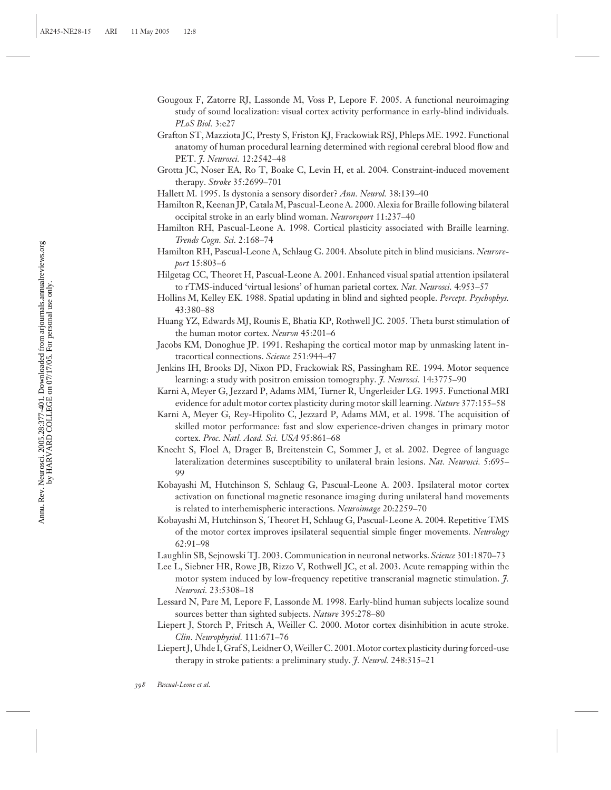- Gougoux F, Zatorre RJ, Lassonde M, Voss P, Lepore F. 2005. A functional neuroimaging study of sound localization: visual cortex activity performance in early-blind individuals. *PLoS Biol.* 3:e27
- Grafton ST, Mazziota JC, Presty S, Friston KJ, Frackowiak RSJ, Phleps ME. 1992. Functional anatomy of human procedural learning determined with regional cerebral blood flow and PET. *J. Neurosci.* 12:2542–48
- Grotta JC, Noser EA, Ro T, Boake C, Levin H, et al. 2004. Constraint-induced movement therapy. *Stroke* 35:2699–701
- Hallett M. 1995. Is dystonia a sensory disorder? *Ann. Neurol.* 38:139–40
- Hamilton R, Keenan JP, Catala M, Pascual-Leone A. 2000. Alexia for Braille following bilateral occipital stroke in an early blind woman. *Neuroreport* 11:237–40
- Hamilton RH, Pascual-Leone A. 1998. Cortical plasticity associated with Braille learning. *Trends Cogn. Sci.* 2:168–74
- Hamilton RH, Pascual-Leone A, Schlaug G. 2004. Absolute pitch in blind musicians. *Neuroreport* 15:803–6
- Hilgetag CC, Theoret H, Pascual-Leone A. 2001. Enhanced visual spatial attention ipsilateral to rTMS-induced 'virtual lesions' of human parietal cortex. *Nat. Neurosci.* 4:953–57
- Hollins M, Kelley EK. 1988. Spatial updating in blind and sighted people. *Percept. Psychophys.* 43:380–88
- Huang YZ, Edwards MJ, Rounis E, Bhatia KP, Rothwell JC. 2005. Theta burst stimulation of the human motor cortex. *Neuron* 45:201–6
- Jacobs KM, Donoghue JP. 1991. Reshaping the cortical motor map by unmasking latent intracortical connections. *Science* 251:944–47
- Jenkins IH, Brooks DJ, Nixon PD, Frackowiak RS, Passingham RE. 1994. Motor sequence learning: a study with positron emission tomography. *J. Neurosci.* 14:3775–90
- Karni A, Meyer G, Jezzard P, Adams MM, Turner R, Ungerleider LG. 1995. Functional MRI evidence for adult motor cortex plasticity during motor skill learning. *Nature* 377:155–58
- Karni A, Meyer G, Rey-Hipolito C, Jezzard P, Adams MM, et al. 1998. The acquisition of skilled motor performance: fast and slow experience-driven changes in primary motor cortex. *Proc. Natl. Acad. Sci. USA* 95:861–68
- Knecht S, Floel A, Drager B, Breitenstein C, Sommer J, et al. 2002. Degree of language lateralization determines susceptibility to unilateral brain lesions. *Nat. Neurosci.* 5:695– 99
- Kobayashi M, Hutchinson S, Schlaug G, Pascual-Leone A. 2003. Ipsilateral motor cortex activation on functional magnetic resonance imaging during unilateral hand movements is related to interhemispheric interactions. *Neuroimage* 20:2259–70
- Kobayashi M, Hutchinson S, Theoret H, Schlaug G, Pascual-Leone A. 2004. Repetitive TMS of the motor cortex improves ipsilateral sequential simple finger movements. *Neurology* 62:91–98

Laughlin SB, Sejnowski TJ. 2003. Communication in neuronal networks. *Science* 301:1870–73

- Lee L, Siebner HR, Rowe JB, Rizzo V, Rothwell JC, et al. 2003. Acute remapping within the motor system induced by low-frequency repetitive transcranial magnetic stimulation. *J. Neurosci.* 23:5308–18
- Lessard N, Pare M, Lepore F, Lassonde M. 1998. Early-blind human subjects localize sound sources better than sighted subjects. *Nature* 395:278–80
- Liepert J, Storch P, Fritsch A, Weiller C. 2000. Motor cortex disinhibition in acute stroke. *Clin. Neurophysiol.* 111:671–76
- Liepert J, Uhde I, Graf S, Leidner O, Weiller C. 2001. Motor cortex plasticity during forced-use therapy in stroke patients: a preliminary study. *J. Neurol.* 248:315–21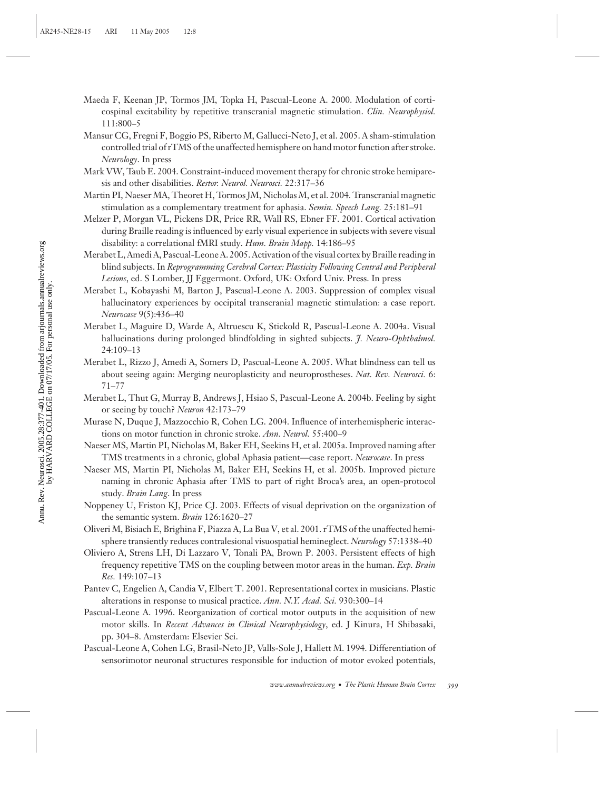- Maeda F, Keenan JP, Tormos JM, Topka H, Pascual-Leone A. 2000. Modulation of corticospinal excitability by repetitive transcranial magnetic stimulation. *Clin. Neurophysiol.* 111:800–5
- Mansur CG, Fregni F, Boggio PS, Riberto M, Gallucci-Neto J, et al. 2005. A sham-stimulation controlled trial of rTMS of the unaffected hemisphere on hand motor function after stroke. *Neurology*. In press
- Mark VW, Taub E. 2004. Constraint-induced movement therapy for chronic stroke hemiparesis and other disabilities. *Restor. Neurol. Neurosci.* 22:317–36
- Martin PI, Naeser MA, Theoret H, Tormos JM, Nicholas M, et al. 2004. Transcranial magnetic stimulation as a complementary treatment for aphasia. *Semin. Speech Lang.* 25:181–91
- Melzer P, Morgan VL, Pickens DR, Price RR, Wall RS, Ebner FF. 2001. Cortical activation during Braille reading is influenced by early visual experience in subjects with severe visual disability: a correlational fMRI study. *Hum. Brain Mapp.* 14:186–95
- Merabet L, Amedi A, Pascual-Leone A. 2005. Activation of the visual cortex by Braille reading in blind subjects. In *Reprogramming Cerebral Cortex: Plasticity Following Central and Peripheral Lesions*, ed. S Lomber, JJ Eggermont. Oxford, UK: Oxford Univ. Press. In press
- Merabet L, Kobayashi M, Barton J, Pascual-Leone A. 2003. Suppression of complex visual hallucinatory experiences by occipital transcranial magnetic stimulation: a case report. *Neurocase* 9(5):436–40
- Merabet L, Maguire D, Warde A, Altruescu K, Stickold R, Pascual-Leone A. 2004a. Visual hallucinations during prolonged blindfolding in sighted subjects. *J. Neuro-Ophthalmol.* 24:109–13
- Merabet L, Rizzo J, Amedi A, Somers D, Pascual-Leone A. 2005. What blindness can tell us about seeing again: Merging neuroplasticity and neuroprostheses. *Nat. Rev. Neurosci.* 6: 71–77
- Merabet L, Thut G, Murray B, Andrews J, Hsiao S, Pascual-Leone A. 2004b. Feeling by sight or seeing by touch? *Neuron* 42:173–79
- Murase N, Duque J, Mazzocchio R, Cohen LG. 2004. Influence of interhemispheric interactions on motor function in chronic stroke. *Ann. Neurol.* 55:400–9
- Naeser MS, Martin PI, Nicholas M, Baker EH, Seekins H, et al. 2005a. Improved naming after TMS treatments in a chronic, global Aphasia patient—case report. *Neurocase*. In press
- Naeser MS, Martin PI, Nicholas M, Baker EH, Seekins H, et al. 2005b. Improved picture naming in chronic Aphasia after TMS to part of right Broca's area, an open-protocol study. *Brain Lang*. In press
- Noppeney U, Friston KJ, Price CJ. 2003. Effects of visual deprivation on the organization of the semantic system. *Brain* 126:1620–27
- Oliveri M, Bisiach E, Brighina F, Piazza A, La Bua V, et al. 2001. rTMS of the unaffected hemisphere transiently reduces contralesional visuospatial hemineglect. *Neurology* 57:1338–40
- Oliviero A, Strens LH, Di Lazzaro V, Tonali PA, Brown P. 2003. Persistent effects of high frequency repetitive TMS on the coupling between motor areas in the human. *Exp. Brain Res.* 149:107–13
- Pantev C, Engelien A, Candia V, Elbert T. 2001. Representational cortex in musicians. Plastic alterations in response to musical practice. *Ann. N.Y. Acad. Sci.* 930:300–14
- Pascual-Leone A. 1996. Reorganization of cortical motor outputs in the acquisition of new motor skills. In *Recent Advances in Clinical Neurophysiology*, ed. J Kinura, H Shibasaki, pp. 304–8. Amsterdam: Elsevier Sci.
- Pascual-Leone A, Cohen LG, Brasil-Neto JP, Valls-Sole J, Hallett M. 1994. Differentiation of sensorimotor neuronal structures responsible for induction of motor evoked potentials,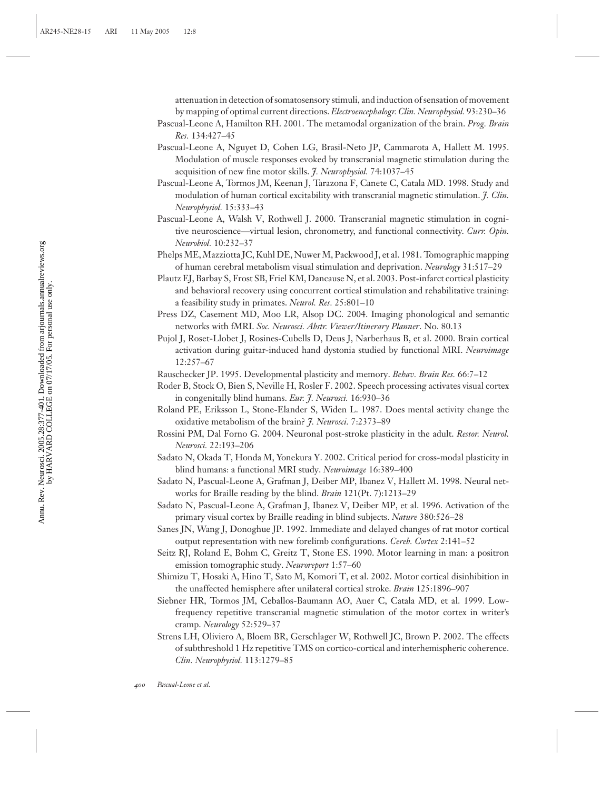attenuation in detection of somatosensory stimuli, and induction of sensation of movement by mapping of optimal current directions. *Electroencephalogr. Clin. Neurophysiol.* 93:230–36

- Pascual-Leone A, Hamilton RH. 2001. The metamodal organization of the brain. *Prog. Brain Res.* 134:427–45
- Pascual-Leone A, Nguyet D, Cohen LG, Brasil-Neto JP, Cammarota A, Hallett M. 1995. Modulation of muscle responses evoked by transcranial magnetic stimulation during the acquisition of new fine motor skills. *J. Neurophysiol.* 74:1037–45
- Pascual-Leone A, Tormos JM, Keenan J, Tarazona F, Canete C, Catala MD. 1998. Study and modulation of human cortical excitability with transcranial magnetic stimulation. *J. Clin. Neurophysiol.* 15:333–43
- Pascual-Leone A, Walsh V, Rothwell J. 2000. Transcranial magnetic stimulation in cognitive neuroscience—virtual lesion, chronometry, and functional connectivity. *Curr. Opin. Neurobiol.* 10:232–37
- Phelps ME, Mazziotta JC, Kuhl DE, Nuwer M, Packwood J, et al. 1981. Tomographic mapping of human cerebral metabolism visual stimulation and deprivation. *Neurology* 31:517–29
- Plautz EJ, Barbay S, Frost SB, Friel KM, Dancause N, et al. 2003. Post-infarct cortical plasticity and behavioral recovery using concurrent cortical stimulation and rehabilitative training: a feasibility study in primates. *Neurol. Res.* 25:801–10
- Press DZ, Casement MD, Moo LR, Alsop DC. 2004. Imaging phonological and semantic networks with fMRI. *Soc. Neurosci. Abstr. Viewer/Itinerary Planner*. No. 80.13
- Pujol J, Roset-Llobet J, Rosines-Cubells D, Deus J, Narberhaus B, et al. 2000. Brain cortical activation during guitar-induced hand dystonia studied by functional MRI. *Neuroimage* 12:257–67
- Rauschecker JP. 1995. Developmental plasticity and memory. *Behav. Brain Res.* 66:7–12
- Roder B, Stock O, Bien S, Neville H, Rosler F. 2002. Speech processing activates visual cortex in congenitally blind humans. *Eur. J. Neurosci.* 16:930–36
- Roland PE, Eriksson L, Stone-Elander S, Widen L. 1987. Does mental activity change the oxidative metabolism of the brain? *J. Neurosci.* 7:2373–89
- Rossini PM, Dal Forno G. 2004. Neuronal post-stroke plasticity in the adult. *Restor. Neurol. Neurosci.* 22:193–206
- Sadato N, Okada T, Honda M, Yonekura Y. 2002. Critical period for cross-modal plasticity in blind humans: a functional MRI study. *Neuroimage* 16:389–400
- Sadato N, Pascual-Leone A, Grafman J, Deiber MP, Ibanez V, Hallett M. 1998. Neural networks for Braille reading by the blind. *Brain* 121(Pt. 7):1213–29
- Sadato N, Pascual-Leone A, Grafman J, Ibanez V, Deiber MP, et al. 1996. Activation of the primary visual cortex by Braille reading in blind subjects. *Nature* 380:526–28
- Sanes JN, Wang J, Donoghue JP. 1992. Immediate and delayed changes of rat motor cortical output representation with new forelimb configurations. *Cereb. Cortex* 2:141–52
- Seitz RJ, Roland E, Bohm C, Greitz T, Stone ES. 1990. Motor learning in man: a positron emission tomographic study. *Neuroreport* 1:57–60
- Shimizu T, Hosaki A, Hino T, Sato M, Komori T, et al. 2002. Motor cortical disinhibition in the unaffected hemisphere after unilateral cortical stroke. *Brain* 125:1896–907
- Siebner HR, Tormos JM, Ceballos-Baumann AO, Auer C, Catala MD, et al. 1999. Lowfrequency repetitive transcranial magnetic stimulation of the motor cortex in writer's cramp. *Neurology* 52:529–37
- Strens LH, Oliviero A, Bloem BR, Gerschlager W, Rothwell JC, Brown P. 2002. The effects of subthreshold 1 Hz repetitive TMS on cortico-cortical and interhemispheric coherence. *Clin. Neurophysiol.* 113:1279–85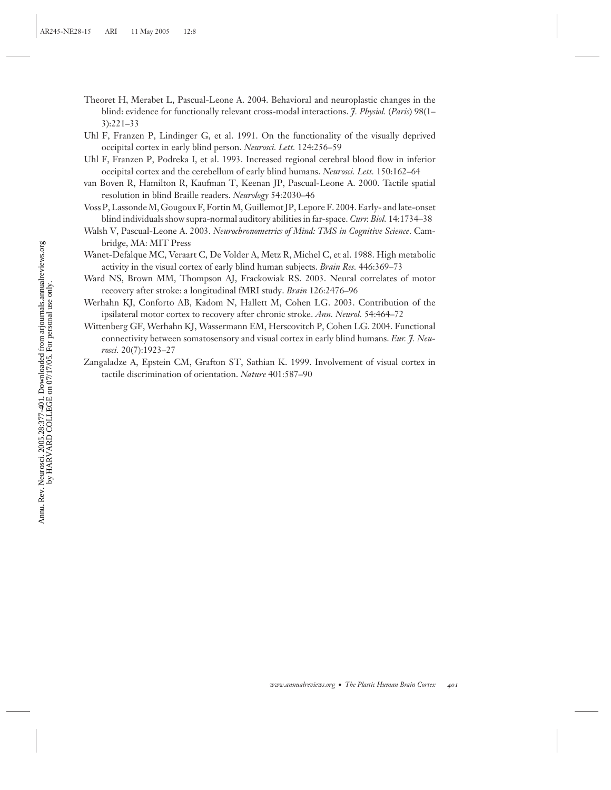- Theoret H, Merabet L, Pascual-Leone A. 2004. Behavioral and neuroplastic changes in the blind: evidence for functionally relevant cross-modal interactions. *J. Physiol.* (*Paris*) 98(1– 3):221–33
- Uhl F, Franzen P, Lindinger G, et al. 1991. On the functionality of the visually deprived occipital cortex in early blind person. *Neurosci. Lett.* 124:256–59
- Uhl F, Franzen P, Podreka I, et al. 1993. Increased regional cerebral blood flow in inferior occipital cortex and the cerebellum of early blind humans. *Neurosci. Lett.* 150:162–64
- van Boven R, Hamilton R, Kaufman T, Keenan JP, Pascual-Leone A. 2000. Tactile spatial resolution in blind Braille readers. *Neurology* 54:2030–46
- Voss P, Lassonde M, Gougoux F, Fortin M, Guillemot JP, Lepore F. 2004. Early- and late-onset blind individuals show supra-normal auditory abilities in far-space. *Curr. Biol.* 14:1734–38
- Walsh V, Pascual-Leone A. 2003. *Neurochronometrics of Mind: TMS in Cognitive Science*. Cambridge, MA: MIT Press
- Wanet-Defalque MC, Veraart C, De Volder A, Metz R, Michel C, et al. 1988. High metabolic activity in the visual cortex of early blind human subjects. *Brain Res.* 446:369–73
- Ward NS, Brown MM, Thompson AJ, Frackowiak RS. 2003. Neural correlates of motor recovery after stroke: a longitudinal fMRI study. *Brain* 126:2476–96
- Werhahn KJ, Conforto AB, Kadom N, Hallett M, Cohen LG. 2003. Contribution of the ipsilateral motor cortex to recovery after chronic stroke. *Ann. Neurol.* 54:464–72
- Wittenberg GF, Werhahn KJ, Wassermann EM, Herscovitch P, Cohen LG. 2004. Functional connectivity between somatosensory and visual cortex in early blind humans. *Eur. J. Neurosci.* 20(7):1923–27
- Zangaladze A, Epstein CM, Grafton ST, Sathian K. 1999. Involvement of visual cortex in tactile discrimination of orientation. *Nature* 401:587–90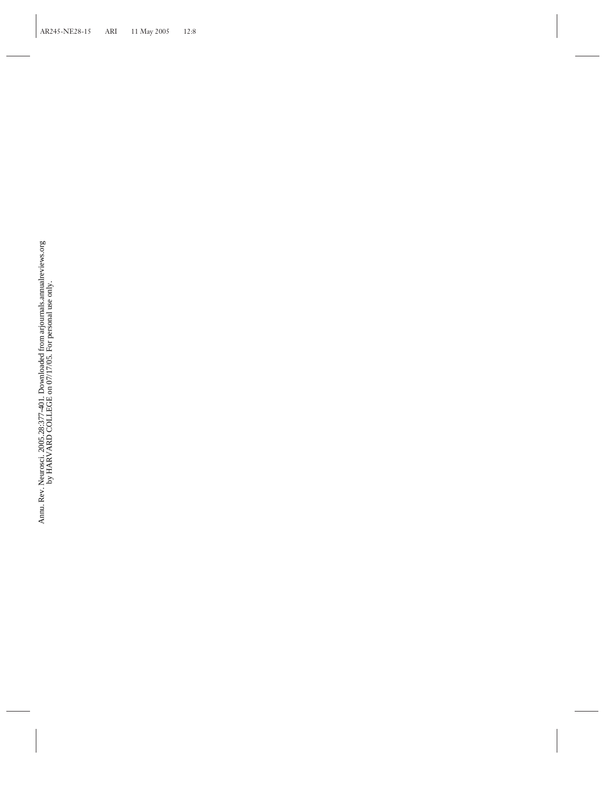Annu. Rev. Neurosci. 2005.28:377-401. Downloaded from arjournals.annualreviews.org<br>by HARVARD COLLEGE on 07/17/05. For personal use only. Annu. Rev. Neurosci. 2005.28:377-401. Downloaded from arjournals.annualreviews.org by HARVARD COLLEGE on 07/17/05. For personal use only.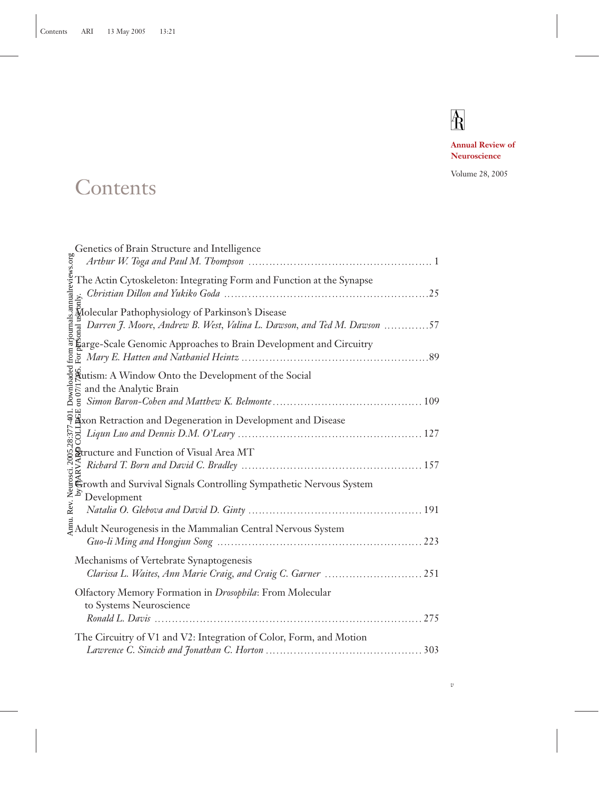$\overline{\text{R}}$ 

**Annual Review of Neuroscience**

Volume 28, 2005

# **Contents**

|  | Genetics of Brain Structure and Intelligence                                                                                                                                                                                                                                                                                                                                                                                                                                             |  |
|--|------------------------------------------------------------------------------------------------------------------------------------------------------------------------------------------------------------------------------------------------------------------------------------------------------------------------------------------------------------------------------------------------------------------------------------------------------------------------------------------|--|
|  | Genetics of Brain Structure and Intelligence<br>of Arthur W. Toga and Paul M. Thompson<br>S. The Actin Cytoskeleton: Integrating Form and Function at the Synapse<br>S. Christian Dillon and Yukiko Goda<br>Fig. Christian Dillon and                                                                                                                                                                                                                                                    |  |
|  | Darren J. Moore, Andrew B. West, Valina L. Dawson, and Ted M. Dawson 57                                                                                                                                                                                                                                                                                                                                                                                                                  |  |
|  | $\begin{array}{l} \n\mathbb{E} \rightarrow \mathbb{R}^{n} \quad \mathbb{E} \quad \mathbb{E} \quad \mathbb{E} \quad \mathbb{E} \quad \mathbb{E} \quad \mathbb{E} \quad \mathbb{E} \quad \mathbb{E} \quad \mathbb{E} \quad \mathbb{E} \quad \mathbb{E} \quad \mathbb{E} \quad \mathbb{E} \quad \mathbb{E} \quad \mathbb{E} \quad \mathbb{E} \quad \mathbb{E} \quad \mathbb{E} \quad \mathbb{E} \quad \mathbb{E} \quad \mathbb{E} \quad \mathbb{E} \quad \mathbb{E} \quad \mathbb{E} \quad$ |  |
|  | $\frac{1}{2}$<br>$\frac{1}{2}$<br>$\frac{1}{2}$<br>$\frac{1}{2}$<br>$\frac{1}{2}$<br>$\frac{1}{2}$<br>$\frac{1}{2}$<br>$\frac{1}{2}$<br>$\frac{1}{2}$<br>$\frac{1}{2}$<br>$\frac{1}{2}$<br>$\frac{1}{2}$<br>$\frac{1}{2}$<br>$\frac{1}{2}$<br>$\frac{1}{2}$<br>$\frac{1}{2}$<br>$\frac{1}{2}$<br>$\frac{1}{2}$<br>$\frac{1}{2}$<br>$\frac{1}{2}$<br>                                                                                                                                     |  |
|  |                                                                                                                                                                                                                                                                                                                                                                                                                                                                                          |  |
|  | ತ್ತಕ್ಷ<br>चे Xon Retraction and Degeneration in Development and Disease                                                                                                                                                                                                                                                                                                                                                                                                                  |  |
|  |                                                                                                                                                                                                                                                                                                                                                                                                                                                                                          |  |
|  | Exam recent and Dennis D.M. O'Leary<br>Second Liqun Luo and Dennis D.M. O'Leary<br>Second and Function of Visual Area MT<br>Second T. Born and David C. Bradley<br>Second and Survival Signals Controlling Sympathetic Nervous System                                                                                                                                                                                                                                                    |  |
|  |                                                                                                                                                                                                                                                                                                                                                                                                                                                                                          |  |
|  | Adult Neurogenesis in the Mammalian Central Nervous System<br>223                                                                                                                                                                                                                                                                                                                                                                                                                        |  |
|  | Mechanisms of Vertebrate Synaptogenesis<br>Clarissa L. Waites, Ann Marie Craig, and Craig C. Garner  251                                                                                                                                                                                                                                                                                                                                                                                 |  |
|  | Olfactory Memory Formation in Drosophila: From Molecular<br>to Systems Neuroscience<br>275                                                                                                                                                                                                                                                                                                                                                                                               |  |
|  | The Circuitry of V1 and V2: Integration of Color, Form, and Motion                                                                                                                                                                                                                                                                                                                                                                                                                       |  |
|  |                                                                                                                                                                                                                                                                                                                                                                                                                                                                                          |  |